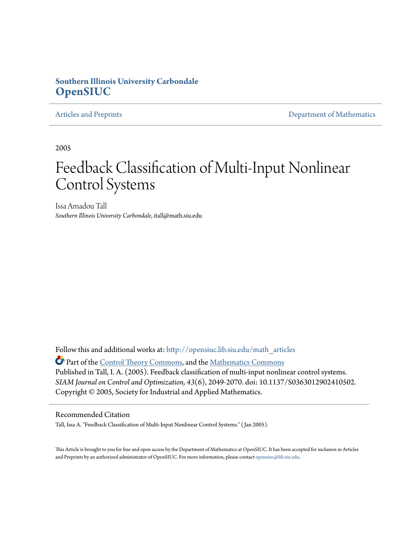## **Southern Illinois University Carbondale [OpenSIUC](http://opensiuc.lib.siu.edu?utm_source=opensiuc.lib.siu.edu%2Fmath_articles%2F88&utm_medium=PDF&utm_campaign=PDFCoverPages)**

[Articles and Preprints](http://opensiuc.lib.siu.edu/math_articles?utm_source=opensiuc.lib.siu.edu%2Fmath_articles%2F88&utm_medium=PDF&utm_campaign=PDFCoverPages) **[Department of Mathematics](http://opensiuc.lib.siu.edu/math?utm_source=opensiuc.lib.siu.edu%2Fmath_articles%2F88&utm_medium=PDF&utm_campaign=PDFCoverPages)** Department of Mathematics

2005

# Feedback Classification of Multi-Input Nonlinear Control Systems

Issa Amadou Tall *Southern Illinois University Carbondale*, itall@math.siu.edu

Follow this and additional works at: [http://opensiuc.lib.siu.edu/math\\_articles](http://opensiuc.lib.siu.edu/math_articles?utm_source=opensiuc.lib.siu.edu%2Fmath_articles%2F88&utm_medium=PDF&utm_campaign=PDFCoverPages)

Part of the [Control Theory Commons](http://network.bepress.com/hgg/discipline/116?utm_source=opensiuc.lib.siu.edu%2Fmath_articles%2F88&utm_medium=PDF&utm_campaign=PDFCoverPages), and the [Mathematics Commons](http://network.bepress.com/hgg/discipline/174?utm_source=opensiuc.lib.siu.edu%2Fmath_articles%2F88&utm_medium=PDF&utm_campaign=PDFCoverPages) Published in Tall, I. A. (2005). Feedback classification of multi-input nonlinear control systems. *SIAM Journal on Control and Optimization, 43*(6), 2049-2070. doi: 10.1137/S0363012902410502. Copyright © 2005, Society for Industrial and Applied Mathematics.

### Recommended Citation

Tall, Issa A. "Feedback Classification of Multi-Input Nonlinear Control Systems." ( Jan 2005).

This Article is brought to you for free and open access by the Department of Mathematics at OpenSIUC. It has been accepted for inclusion in Articles and Preprints by an authorized administrator of OpenSIUC. For more information, please contact [opensiuc@lib.siu.edu](mailto:opensiuc@lib.siu.edu).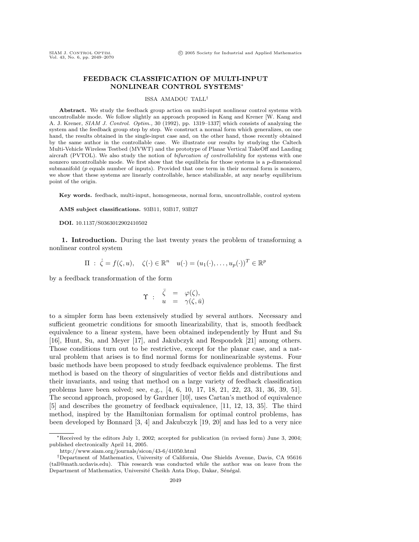#### **FEEDBACK CLASSIFICATION OF MULTI-INPUT NONLINEAR CONTROL SYSTEMS**∗

#### ISSA AMADOU TALL†

**Abstract.** We study the feedback group action on multi-input nonlinear control systems with uncontrollable mode. We follow slightly an approach proposed in Kang and Krener [W. Kang and A. J. Krener, SIAM J. Control. Optim., 30 (1992), pp. 1319–1337] which consists of analyzing the system and the feedback group step by step. We construct a normal form which generalizes, on one hand, the results obtained in the single-input case and, on the other hand, those recently obtained by the same author in the controllable case. We illustrate our results by studying the Caltech Multi-Vehicle Wireless Testbed (MVWT) and the prototype of Planar Vertical TakeOff and Landing aircraft (PVTOL). We also study the notion of bifurcation of controllability for systems with one nonzero uncontrollable mode. We first show that the equilibria for those systems is a  $p$ -dimensional submanifold  $(p \text{ equals number of inputs}).$  Provided that one term in their normal form is nonzero, we show that these systems are linearly controllable, hence stabilizable, at any nearby equilibrium point of the origin.

**Key words.** feedback, multi-input, homogeneous, normal form, uncontrollable, control system

**AMS subject classifications.** 93B11, 93B17, 93B27

**DOI.** 10.1137/S0363012902410502

**1. Introduction.** During the last twenty years the problem of transforming a nonlinear control system

$$
\Pi : \dot{\zeta} = f(\zeta, u), \quad \zeta(\cdot) \in \mathbb{R}^n \quad u(\cdot) = (u_1(\cdot), \dots, u_p(\cdot))^T \in \mathbb{R}^p
$$

by a feedback transformation of the form

$$
\Upsilon \; : \; \begin{array}{rcl} \bar{\zeta} & = & \varphi(\zeta), \\ u & = & \gamma(\zeta, \bar{u}) \end{array}
$$

to a simpler form has been extensively studied by several authors. Necessary and sufficient geometric conditions for smooth linearizability, that is, smooth feedback equivalence to a linear system, have been obtained independently by Hunt and Su [16], Hunt, Su, and Meyer [17], and Jakubczyk and Respondek [21] among others. Those conditions turn out to be restrictive, except for the planar case, and a natural problem that arises is to find normal forms for nonlinearizable systems. Four basic methods have been proposed to study feedback equivalence problems. The first method is based on the theory of singularities of vector fields and distributions and their invariants, and using that method on a large variety of feedback classification problems have been solved; see, e.g., [4, 6, 10, 17, 18, 21, 22, 23, 31, 36, 39, 51]. The second approach, proposed by Gardner [10], uses Cartan's method of equivalence [5] and describes the geometry of feedback equivalence, [11, 12, 13, 35]. The third method, inspired by the Hamiltonian formalism for optimal control problems, has been developed by Bonnard [3, 4] and Jakubczyk [19, 20] and has led to a very nice

<sup>∗</sup>Received by the editors July 1, 2002; accepted for publication (in revised form) June 3, 2004; published electronically April 14, 2005.

http://www.siam.org/journals/sicon/43-6/41050.html

<sup>†</sup>Department of Mathematics, University of California, One Shields Avenue, Davis, CA 95616 (tall@math.ucdavis.edu). This research was conducted while the author was on leave from the Department of Mathematics, Université Cheikh Anta Diop, Dakar, Sénégal.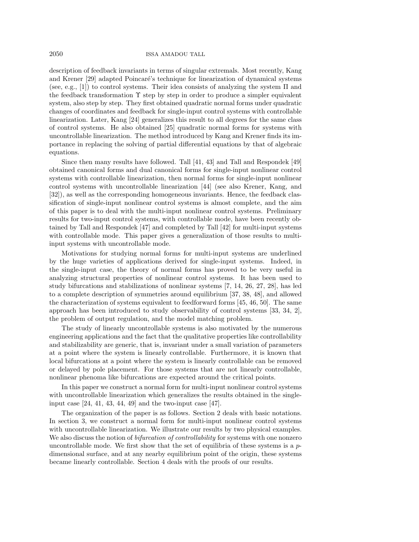2050 ISSA AMADOU TALL

description of feedback invariants in terms of singular extremals. Most recently, Kang and Krener [29] adapted Poincaré's technique for linearization of dynamical systems (see, e.g., [1]) to control systems. Their idea consists of analyzing the system  $\Pi$  and the feedback transformation  $\Upsilon$  step by step in order to produce a simpler equivalent system, also step by step. They first obtained quadratic normal forms under quadratic changes of coordinates and feedback for single-input control systems with controllable linearization. Later, Kang [24] generalizes this result to all degrees for the same class of control systems. He also obtained [25] quadratic normal forms for systems with uncontrollable linearization. The method introduced by Kang and Krener finds its importance in replacing the solving of partial differential equations by that of algebraic equations.

Since then many results have followed. Tall [41, 43] and Tall and Respondek [49] obtained canonical forms and dual canonical forms for single-input nonlinear control systems with controllable linearization, then normal forms for single-input nonlinear control systems with uncontrollable linearization [44] (see also Krener, Kang, and [32]), as well as the corresponding homogeneous invariants. Hence, the feedback classification of single-input nonlinear control systems is almost complete, and the aim of this paper is to deal with the multi-input nonlinear control systems. Preliminary results for two-input control systems, with controllable mode, have been recently obtained by Tall and Respondek [47] and completed by Tall [42] for multi-input systems with controllable mode. This paper gives a generalization of those results to multiinput systems with uncontrollable mode.

Motivations for studying normal forms for multi-input systems are underlined by the huge varieties of applications derived for single-input systems. Indeed, in the single-input case, the theory of normal forms has proved to be very useful in analyzing structural properties of nonlinear control systems. It has been used to study bifurcations and stabilizations of nonlinear systems [7, 14, 26, 27, 28], has led to a complete description of symmetries around equilibrium [37, 38, 48], and allowed the characterization of systems equivalent to feedforward forms [45, 46, 50]. The same approach has been introduced to study observability of control systems [33, 34, 2], the problem of output regulation, and the model matching problem.

The study of linearly uncontrollable systems is also motivated by the numerous engineering applications and the fact that the qualitative properties like controllability and stabilizability are generic, that is, invariant under a small variation of parameters at a point where the system is linearly controllable. Furthermore, it is known that local bifurcations at a point where the system is linearly controllable can be removed or delayed by pole placement. For those systems that are not linearly controllable, nonlinear phenoma like bifurcations are expected around the critical points.

In this paper we construct a normal form for multi-input nonlinear control systems with uncontrollable linearization which generalizes the results obtained in the singleinput case [24, 41, 43, 44, 49] and the two-input case [47].

The organization of the paper is as follows. Section 2 deals with basic notations. In section 3, we construct a normal form for multi-input nonlinear control systems with uncontrollable linearization. We illustrate our results by two physical examples. We also discuss the notion of *bifurcation of controllability* for systems with one nonzero uncontrollable mode. We first show that the set of equilibria of these systems is a  $p$ dimensional surface, and at any nearby equilibrium point of the origin, these systems became linearly controllable. Section 4 deals with the proofs of our results.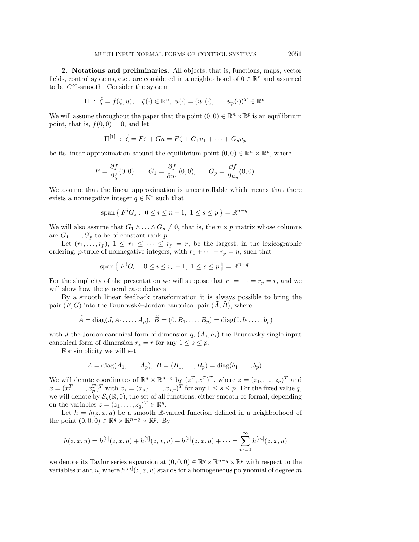**2. Notations and preliminaries.** All objects, that is, functions, maps, vector fields, control systems, etc., are considered in a neighborhood of  $0 \in \mathbb{R}^n$  and assumed to be  $C^{\infty}$ -smooth. Consider the system

$$
\Pi : \dot{\zeta} = f(\zeta, u), \quad \zeta(\cdot) \in \mathbb{R}^n, \ u(\cdot) = (u_1(\cdot), \dots, u_p(\cdot))^T \in \mathbb{R}^p.
$$

We will assume throughout the paper that the point  $(0, 0) \in \mathbb{R}^n \times \mathbb{R}^p$  is an equilibrium point, that is,  $f(0, 0) = 0$ , and let

$$
\Pi^{[1]} \; : \; \dot{\zeta} = F\zeta + Gu = F\zeta + G_1u_1 + \dots + G_pu_p
$$

be its linear approximation around the equilibrium point  $(0, 0) \in \mathbb{R}^n \times \mathbb{R}^p$ , where

$$
F = \frac{\partial f}{\partial \zeta}(0,0), \qquad G_1 = \frac{\partial f}{\partial u_1}(0,0), \ldots, G_p = \frac{\partial f}{\partial u_p}(0,0).
$$

We assume that the linear approximation is uncontrollable which means that there exists a nonnegative integer  $q \in \mathbb{N}^*$  such that

$$
span\{F^iG_s: 0 \le i \le n-1, 1 \le s \le p\} = \mathbb{R}^{n-q}.
$$

We will also assume that  $G_1 \wedge \ldots \wedge G_p \neq 0$ , that is, the  $n \times p$  matrix whose columns are  $G_1, \ldots, G_p$  to be of constant rank p.

Let  $(r_1,\ldots,r_p),$   $1 \leq r_1 \leq \cdots \leq r_p = r$ , be the largest, in the lexicographic ordering, p-tuple of nonnegative integers, with  $r_1 + \cdots + r_p = n$ , such that

$$
span\{F^iG_s: 0 \le i \le r_s - 1, 1 \le s \le p\} = \mathbb{R}^{n-q}.
$$

For the simplicity of the presentation we will suppose that  $r_1 = \cdots = r_p = r$ , and we will show how the general case deduces.

By a smooth linear feedback transformation it is always possible to bring the pair  $(F, G)$  into the Brunovský–Jordan canonical pair  $(\overline{A}, \overline{B})$ , where

$$
\tilde{A} = diag(J, A_1, ..., A_p), \ \tilde{B} = (0, B_1, ..., B_p) = diag(0, b_1, ..., b_p)
$$

with J the Jordan canonical form of dimension  $q$ ,  $(A_s, b_s)$  the Brunovský single-input canonical form of dimension  $r_s = r$  for any  $1 \leq s \leq p$ .

For simplicity we will set

$$
A = diag(A_1, ..., A_p), B = (B_1, ..., B_p) = diag(b_1, ..., b_p).
$$

We will denote coordinates of  $\mathbb{R}^q \times \mathbb{R}^{n-q}$  by  $(z^T, x^T)^T$ , where  $z = (z_1, \ldots, z_q)^T$  and  $x = (x_1^T, \ldots, x_p^T)^T$  with  $x_s = (x_{s,1}, \ldots, x_{s,r})^T$  for any  $1 \le s \le p$ . For the fixed value q, we will denote by  $\mathcal{S}_q(\mathbb{R},0)$ , the set of all functions, either smooth or formal, depending on the variables  $z = (z_1, \ldots, z_q)^T \in \mathbb{R}^q$ .

Let  $h = h(z, x, u)$  be a smooth R-valued function defined in a neighborhood of the point  $(0, 0, 0) \in \mathbb{R}^q \times \mathbb{R}^{n-q} \times \mathbb{R}^p$ . By

$$
h(z, x, u) = h^{[0]}(z, x, u) + h^{[1]}(z, x, u) + h^{[2]}(z, x, u) + \dots = \sum_{m=0}^{\infty} h^{[m]}(z, x, u)
$$

we denote its Taylor series expansion at  $(0, 0, 0) \in \mathbb{R}^q \times \mathbb{R}^{n-q} \times \mathbb{R}^p$  with respect to the variables x and u, where  $h^{[m]}(z, x, u)$  stands for a homogeneous polynomial of degree m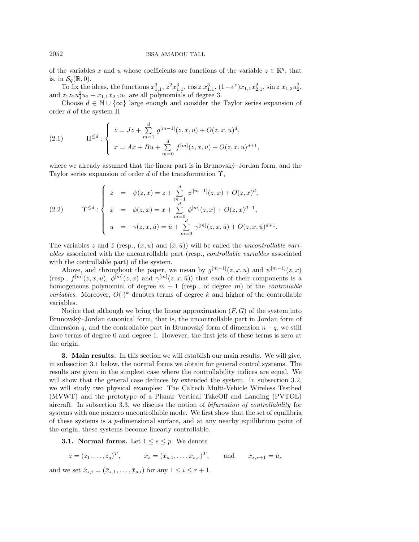of the variables x and u whose coefficients are functions of the variable  $z \in \mathbb{R}^q$ , that is, in  $\mathcal{S}_q(\mathbb{R}, 0)$ .

To fix the ideas, the functions  $x_{1,1}^3$ ,  $z^2 x_{1,1}^3$ ,  $\cos z x_{1,1}^3$ ,  $(1-e^z)x_{1,1}x_{2,1}^2$ ,  $\sin z x_{1,2}u_2^2$ , and  $z_1 z_2 u_1^2 u_2 + x_{1,1} x_{2,1} u_1$  are all polynomials of degree 3.

Choose  $d \in \mathbb{N} \cup \{\infty\}$  large enough and consider the Taylor series expansion of order d of the system  $\Pi$ 

(2.1) 
$$
\Pi^{\leq d} : \begin{cases} \dot{z} = Jz + \sum_{m=1}^{d} g^{[m-1]}(z, x, u) + O(z, x, u)^{d}, \\ \dot{x} = Ax + Bu + \sum_{m=0}^{d} f^{[m]}(z, x, u) + O(z, x, u)^{d+1}, \end{cases}
$$

where we already assumed that the linear part is in Brunovský–Jordan form, and the Taylor series expansion of order d of the transformation  $\Upsilon$ ,

(2.2) 
$$
\mathbf{T}^{\leq d} : \begin{cases} \bar{z} = \psi(z, x) = z + \sum_{m=1}^{d} \psi^{[m-1]}(z, x) + O(z, x)^{d}, \\ \bar{x} = \phi(z, x) = x + \sum_{m=0}^{d} \phi^{[m]}(z, x) + O(z, x)^{d+1}, \\ u = \gamma(z, x, \bar{u}) = \bar{u} + \sum_{m=0}^{d} \gamma^{[m]}(z, x, \bar{u}) + O(z, x, \bar{u})^{d+1}. \end{cases}
$$

The variables z and  $\bar{z}$  (resp.,  $(x, u)$ ) and  $(\bar{x}, \bar{u})$ ) will be called the *uncontrollable vari*ables associated with the uncontrollable part (resp., controllable variables associated with the controllable part) of the system.

Above, and throughout the paper, we mean by  $g^{[m-1]}(z, x, u)$  and  $\psi^{[m-1]}(z, x)$ (resp.,  $f^{[m]}(z,x,u)$ ,  $\phi^{[m]}(z,x)$  and  $\gamma^{[m]}(z,x,\bar{u})$ ) that each of their components is a homogeneous polynomial of degree  $m - 1$  (resp., of degree m) of the *controllable variables.* Moreover,  $O(\cdot)^k$  denotes terms of degree k and higher of the controllable variables.

Notice that although we bring the linear approximation  $(F, G)$  of the system into Brunovský–Jordan canonical form, that is, the uncontrollable part in Jordan form of dimension q, and the controllable part in Brunovský form of dimension  $n - q$ , we still have terms of degree 0 and degree 1. However, the first jets of these terms is zero at the origin.

**3. Main results.** In this section we will establish our main results. We will give, in subsection 3.1 below, the normal forms we obtain for general control systems. The results are given in the simplest case where the controllability indices are equal. We will show that the general case deduces by extended the system. In subsection 3.2, we will study two physical examples: The Caltech Multi-Vehicle Wireless Testbed (MVWT) and the prototype of a Planar Vertical TakeOff and Landing (PVTOL) aircraft. In subsection 3.3, we discuss the notion of bifurcation of controllability for systems with one nonzero uncontrollable mode. We first show that the set of equilibria of these systems is a p-dimensional surface, and at any nearby equilibrium point of the origin, these systems become linearly controllable.

**3.1. Normal forms.** Let  $1 \leq s \leq p$ . We denote

$$
\bar{z} = (\bar{z}_1, \ldots, \bar{z}_q)^T
$$
,  $\bar{x}_s = (\bar{x}_{s,1}, \ldots, \bar{x}_{s,r})^T$ , and  $\bar{x}_{s,r+1} = \bar{u}_s$ 

and we set  $\hat{x}_{s,i} = (\bar{x}_{s,1}, \ldots, \bar{x}_{s,i})$  for any  $1 \leq i \leq r+1$ .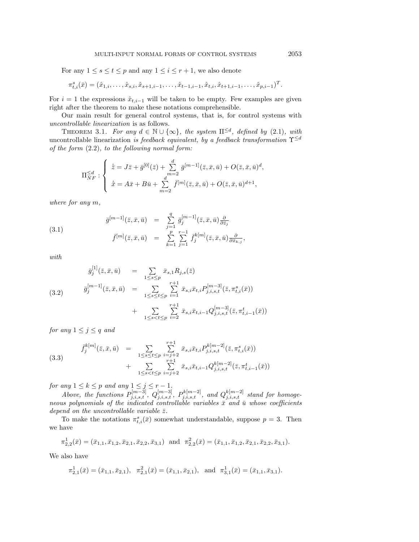For any  $1 \leq s \leq t \leq p$  and any  $1 \leq i \leq r+1$ , we also denote

$$
\pi_{t,i}^s(\bar{x}) = (\hat{x}_{1,i}, \dots, \hat{x}_{s,i}, \hat{x}_{s+1,i-1}, \dots, \hat{x}_{t-1,i-1}, \hat{x}_{t,i}, \hat{x}_{t+1,i-1}, \dots, \hat{x}_{p,i-1})^T.
$$

For  $i = 1$  the expressions  $\hat{x}_{t,i-1}$  will be taken to be empty. Few examples are given right after the theorem to make these notations comprehensible.

Our main result for general control systems, that is, for control systems with uncontrollable linearization is as follows.

THEOREM 3.1. For any  $d \in \mathbb{N} \cup \{\infty\}$ , the system  $\Pi^{\leq d}$ , defined by (2.1), with uncontrollable linearization is feedback equivalent, by a feedback transformation  $\Upsilon^{\leq d}$ of the form (2.2), to the following normal form:

$$
\Pi_{NF}^{\leq d}: \begin{cases} \dot{\bar{z}} = J\bar{z} + \bar{g}^{[0]}(\bar{z}) + \sum_{m=2}^{d} \bar{g}^{[m-1]}(\bar{z}, \bar{x}, \bar{u}) + O(\bar{z}, \bar{x}, \bar{u})^{d}, \\ \dot{\bar{x}} = A\bar{x} + B\bar{u} + \sum_{m=2}^{d} \bar{f}^{[m]}(\bar{z}, \bar{x}, \bar{u}) + O(\bar{z}, \bar{x}, \bar{u})^{d+1}, \end{cases}
$$

where for any m,

(3.1) 
$$
\bar{g}^{[m-1]}(\bar{z}, \bar{x}, \bar{u}) = \sum_{j=1}^{q} \bar{g}_j^{[m-1]}(\bar{z}, \bar{x}, \bar{u}) \frac{\partial}{\partial \bar{z}_j} \n\bar{f}^{[m]}(\bar{z}, \bar{x}, \bar{u}) = \sum_{k=1}^{p} \sum_{j=1}^{r-1} \bar{f}_j^{k[m]}(\bar{z}, \bar{x}, \bar{u}) \frac{\partial}{\partial \bar{x}_{k,j}},
$$

with

$$
\bar{g}_{j}^{[1]}(\bar{z}, \bar{x}, \bar{u}) = \sum_{1 \leq s \leq p} \bar{x}_{s,1} R_{j,s}(\bar{z})
$$
\n
$$
\bar{g}_{j}^{[m-1]}(\bar{z}, \bar{x}, \bar{u}) = \sum_{1 \leq s \leq t \leq p} \sum_{i=1}^{r+1} \bar{x}_{s,i} \bar{x}_{t,i} P_{j,i,s,t}^{[m-3]}(\bar{z}, \pi_{t,i}^{s}(\bar{x}))
$$
\n
$$
+ \sum_{1 \leq s < t \leq p} \sum_{i=2}^{r+1} \bar{x}_{s,i} \bar{x}_{t,i-1} Q_{j,i,s,t}^{[m-3]}(\bar{z}, \pi_{t,i-1}^{t}(\bar{x}))
$$

for any  $1 \leq j \leq q$  and

(3.3) 
$$
\bar{f}_{j}^{k[m]}(\bar{z}, \bar{x}, \bar{u}) = \sum_{1 \leq s \leq t \leq p} \sum_{\substack{i=j+2 \ i \leq s \leq t \leq p}}^{r+1} \bar{x}_{s,i} \bar{x}_{t,i} P_{j,i,s,t}^{k[m-2]}(\bar{z}, \pi_{t,i}^{s}(\bar{x})) + \sum_{1 \leq s < t \leq p} \sum_{i=j+2}^{r+1} \bar{x}_{s,i} \bar{x}_{t,i-1} Q_{j,i,s,t}^{k[m-2]}(\bar{z}, \pi_{t,i-1}^{t}(\bar{x}))
$$

for any  $1 \leq k \leq p$  and any  $1 \leq j \leq r-1$ .

Above, the functions  $P_{j,i,s,t}^{[m-3]}$ ,  $Q_{j,i,s,t}^{[m-3]}$ ,  $P_{j,i,s,t}^{k[m-2]}$ , and  $Q_{j,i,s,t}^{k[m-2]}$  stand for homogeneous polynomials of the indicated controllable variables  $\bar{x}$  and  $\bar{u}$  whose coefficients depend on the uncontrollable variable  $\bar{z}$ .

To make the notations  $\pi_{t,i}^s(\bar{x})$  somewhat understandable, suppose  $p = 3$ . Then we have

$$
\pi_{2,2}^1(\bar{x}) = (\bar{x}_{1,1}, \bar{x}_{1,2}, \bar{x}_{2,1}, \bar{x}_{2,2}, \bar{x}_{3,1}) \text{ and } \pi_{2,2}^2(\bar{x}) = (\bar{x}_{1,1}, \bar{x}_{1,2}, \bar{x}_{2,1}, \bar{x}_{2,2}, \bar{x}_{3,1}).
$$

We also have

$$
\pi_{2,1}^1(\bar{x}) = (\bar{x}_{1,1}, \bar{x}_{2,1}), \quad \pi_{2,1}^2(\bar{x}) = (\bar{x}_{1,1}, \bar{x}_{2,1}), \text{ and } \pi_{3,1}^1(\bar{x}) = (\bar{x}_{1,1}, \bar{x}_{3,1}).
$$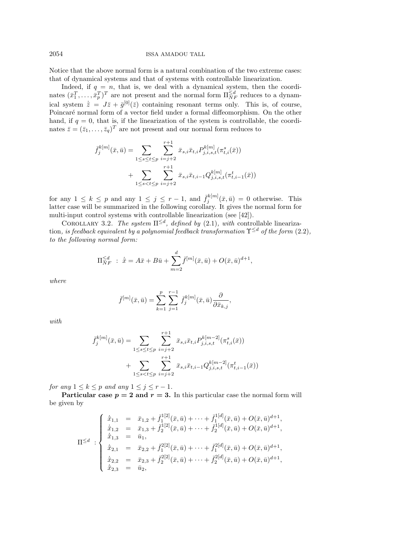Notice that the above normal form is a natural combination of the two extreme cases: that of dynamical systems and that of systems with controllable linearization.

Indeed, if  $q = n$ , that is, we deal with a dynamical system, then the coordinates  $(\bar{x}_1^T, \ldots, \bar{x}_p^T)^T$  are not present and the normal form  $\Pi_{NF}^{\le d}$  reduces to a dynamical system  $\bar{z} = J\bar{z} + \bar{g}^{[0]}(\bar{z})$  containing resonant terms only. This is, of course, Poincaré normal form of a vector field under a formal diffeomorphism. On the other hand, if  $q = 0$ , that is, if the linearization of the system is controllable, the coordinates  $\bar{z} = (\bar{z}_1, \ldots, \bar{z}_q)^T$  are not present and our normal form reduces to

$$
\bar{f}_{j}^{k[m]}(\bar{x}, \bar{u}) = \sum_{1 \leq s \leq t \leq p} \sum_{i=j+2}^{r+1} \bar{x}_{s,i} \bar{x}_{t,i} P_{j,i,s,t}^{k[m]}(\pi_{t,i}^{s}(\bar{x})) + \sum_{1 \leq s < t \leq p} \sum_{i=j+2}^{r+1} \bar{x}_{s,i} \bar{x}_{t,i-1} Q_{j,i,s,t}^{k[m]}(\pi_{t,i-1}^{t}(\bar{x}))
$$

for any  $1 \leq k \leq p$  and any  $1 \leq j \leq r-1$ , and  $\bar{f}_j^{k[m]}(\bar{x}, \bar{u}) = 0$  otherwise. This latter case will be summarized in the following corollary. It gives the normal form for multi-input control systems with controllable linearization (see [42]).

COROLLARY 3.2. The system  $\Pi^{\leq d}$ , defined by (2.1), with controllable linearization, is feedback equivalent by a polynomial feedback transformation  $\Upsilon^{\leq d}$  of the form (2.2), to the following normal form:

$$
\Pi_{NF}^{\leq d} : \ \dot{\bar{x}} = A\bar{x} + B\bar{u} + \sum_{m=2}^{d} \bar{f}^{[m]}(\bar{x}, \bar{u}) + O(\bar{x}, \bar{u})^{d+1},
$$

where

$$
\bar{f}^{[m]}(\bar{x},\bar{u}) = \sum_{k=1}^p \sum_{j=1}^{r-1} \bar{f}_j^{k[m]}(\bar{x},\bar{u}) \frac{\partial}{\partial \bar{x}_{k,j}},
$$

with

$$
\bar{f}_{j}^{k[m]}(\bar{x}, \bar{u}) = \sum_{1 \leq s \leq t \leq p} \sum_{i=j+2}^{r+1} \bar{x}_{s,i} \bar{x}_{t,i} P_{j,i,s,t}^{k[m-2]}(\pi_{t,i}^{s}(\bar{x})) + \sum_{1 \leq s < t \leq p} \sum_{i=j+2}^{r+1} \bar{x}_{s,i} \bar{x}_{t,i-1} Q_{j,i,s,t}^{k[m-2]}(\pi_{t,i-1}^{t}(\bar{x}))
$$

for any  $1 \leq k \leq p$  and any  $1 \leq j \leq r-1$ .

**Particular case**  $p = 2$  and  $r = 3$ . In this particular case the normal form will be given by

$$
\Pi^{\leq d} : \begin{cases} \n\dot{\bar{x}}_{1,1} = \bar{x}_{1,2} + \bar{f}_1^{1[2]}(\bar{x}, \bar{u}) + \cdots + \bar{f}_1^{1[d]}(\bar{x}, \bar{u}) + O(\bar{x}, \bar{u})^{d+1}, \\
\dot{\bar{x}}_{1,2} = \bar{x}_{1,3} + \bar{f}_2^{1[2]}(\bar{x}, \bar{u}) + \cdots + \bar{f}_2^{1[d]}(\bar{x}, \bar{u}) + O(\bar{x}, \bar{u})^{d+1}, \\
\dot{\bar{x}}_{1,3} = \bar{u}_1, \\
\dot{\bar{x}}_{2,1} = \bar{x}_{2,2} + \bar{f}_1^{2[2]}(\bar{x}, \bar{u}) + \cdots + \bar{f}_1^{2[d]}(\bar{x}, \bar{u}) + O(\bar{x}, \bar{u})^{d+1}, \\
\dot{\bar{x}}_{2,2} = \bar{x}_{2,3} + \bar{f}_2^{2[2]}(\bar{x}, \bar{u}) + \cdots + \bar{f}_2^{2[d]}(\bar{x}, \bar{u}) + O(\bar{x}, \bar{u})^{d+1},\n\end{cases}
$$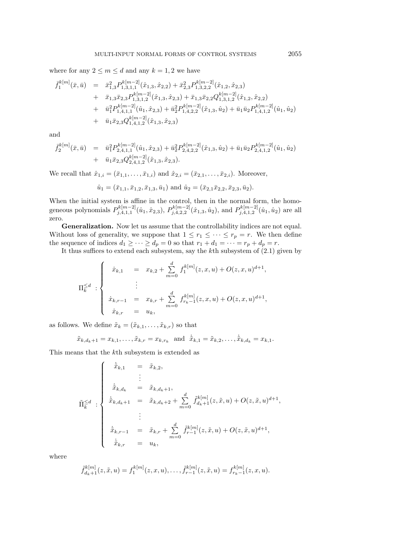where for any  $2 \le m \le d$  and any  $k = 1, 2$  we have

$$
\begin{array}{rcl}\n\bar{f}_{1}^{k[m]}(\bar{x},\bar{u}) &=& \bar{x}_{1,3}^{2}P_{1,3,1,1}^{k[m-2]}(\hat{x}_{1,3},\hat{x}_{2,2}) + \bar{x}_{2,3}^{2}P_{1,3,2,2}^{k[m-2]}(\hat{x}_{1,2},\hat{x}_{2,3}) \\
&+& \bar{x}_{1,3}\bar{x}_{2,3}P_{1,3,1,2}^{k[m-2]}(\hat{x}_{1,3},\hat{x}_{2,3}) + \bar{x}_{1,3}\bar{x}_{2,2}Q_{1,3,1,2}^{k[m-2]}(\hat{x}_{1,2},\hat{x}_{2,2}) \\
&+& \bar{u}_{1}^{2}P_{1,4,1,1}^{k[m-2]}(\hat{u}_{1},\hat{x}_{2,3}) + \bar{u}_{2}^{2}P_{1,4,2,2}^{k[m-2]}(\hat{x}_{1,3},\hat{u}_{2}) + \bar{u}_{1}\bar{u}_{2}P_{1,4,1,2}^{k[m-2]}(\hat{u}_{1},\hat{u}_{2}) \\
&+& \bar{u}_{1}\bar{x}_{2,3}Q_{1,4,1,2}^{k[m-2]}(\hat{x}_{1,3},\hat{x}_{2,3})\n\end{array}
$$

and

$$
\begin{array}{rcl}\bar{f}^{k[m]}_2(\bar{x},\bar{u})&=&\bar{u}^2_1P^{k[m-2]}_{2,4,1,1}(\hat{u}_1,\hat{x}_{2,3})+\bar{u}^2_2P^{k[m-2]}_{2,4,2,2}(\hat{x}_{1,3},\hat{u}_2)+\bar{u}_1\bar{u}_2P^{k[m-2]}_{2,4,1,2}(\hat{u}_1,\hat{u}_2)\\&+&\bar{u}_1\bar{x}_{2,3}Q^{k[m-2]}_{2,4,1,2}(\hat{x}_{1,3},\hat{x}_{2,3}).\end{array}
$$

We recall that  $\hat{x}_{1,i} = (\bar{x}_{1,1},...,\bar{x}_{1,i})$  and  $\hat{x}_{2,i} = (\bar{x}_{2,1},...,\bar{x}_{2,i})$ . Moreover,

$$
\hat{u}_1 = (\bar{x}_{1,1}, \bar{x}_{1,2}, \bar{x}_{1,3}, \bar{u}_1)
$$
 and  $\hat{u}_2 = (\bar{x}_{2,1}\bar{x}_{2,2}, \bar{x}_{2,3}, \bar{u}_2)$ .

When the initial system is affine in the control, then in the normal form, the homogeneous polynomials  $P_{j,4,1,1}^{k[m-2]}(\hat{u}_1,\hat{x}_{2,3}), P_{j,4,2,2}^{k[m-2]}(\hat{x}_{1,3},\hat{u}_2)$ , and  $P_{j,4,1,2}^{k[m-2]}(\hat{u}_1,\hat{u}_2)$  are all zero.

**Generalization.** Now let us assume that the controllability indices are not equal. Without loss of generality, we suppose that  $1 \leq r_1 \leq \cdots \leq r_p = r$ . We then define the sequence of indices  $d_1 \geq \cdots \geq d_p = 0$  so that  $r_1 + d_1 = \cdots = r_p + d_p = r$ .

It thus suffices to extend each subsystem, say the kth subsystem of (2.1) given by

$$
\Pi_k^{\leq d} : \begin{cases} \n\dot{x}_{k,1} &= x_{k,2} + \sum_{m=0}^d f_1^{k[m]}(z,x,u) + O(z,x,u)^{d+1}, \\
\vdots & \vdots \\
\dot{x}_{k,r-1} &= x_{k,r} + \sum_{m=0}^d f_{r_k-1}^{k[m]}(z,x,u) + O(z,x,u)^{d+1}, \\
\dot{x}_{k,r} &= u_k, \n\end{cases}
$$

as follows. We define  $\tilde{x}_k = (\tilde{x}_{k,1},\ldots,\tilde{x}_{k,r})$  so that

$$
\tilde{x}_{k,d_k+1} = x_{k,1}, \ldots, \tilde{x}_{k,r} = x_{k,r_k}
$$
 and  $\dot{\tilde{x}}_{k,1} = \tilde{x}_{k,2}, \ldots, \dot{\tilde{x}}_{k,d_k} = x_{k,1}.$ 

This means that the kth subsystem is extended as

$$
\tilde{\Pi}_{k}^{\leq d} : \begin{cases}\n\dot{\tilde{x}}_{k,1} = \tilde{x}_{k,2}, \\
\dot{\tilde{x}}_{k,d_k} = \tilde{x}_{k,d_k+1}, \\
\dot{\tilde{x}}_{k,d_k+1} = \tilde{x}_{k,d_k+2} + \sum_{m=0}^{d} \tilde{f}_{d_k+1}^{k[m]}(z,\tilde{x},u) + O(z,\tilde{x},u)^{d+1}, \\
\vdots \\
\dot{\tilde{x}}_{k,r-1} = \tilde{x}_{k,r} + \sum_{m=0}^{d} \tilde{f}_{r-1}^{k[m]}(z,\tilde{x},u) + O(z,\tilde{x},u)^{d+1}, \\
\dot{\tilde{x}}_{k,r} = u_k,\n\end{cases}
$$

where

$$
\tilde{f}_{d_k+1}^{k[m]}(z,\tilde{x},u) = f_1^{k[m]}(z,x,u), \ldots, \tilde{f}_{r-1}^{k[m]}(z,\tilde{x},u) = f_{r_k-1}^{k[m]}(z,x,u).
$$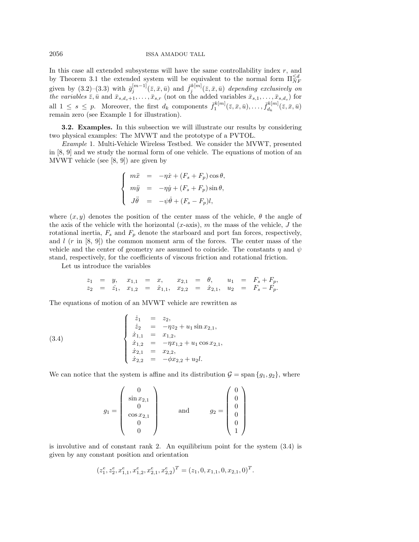In this case all extended subsystems will have the same controllability index  $r$ , and by Theorem 3.1 the extended system will be equivalent to the normal form  $\Pi_{NF}^{\le d}$ given by  $(3.2)-(3.3)$  with  $\bar{g}_j^{[m-1]}(\bar{z}, \bar{x}, \bar{u})$  and  $\bar{f}_j^{k[m]}(\bar{z}, \bar{x}, \bar{u})$  depending exclusively on the variables  $\bar{z}, \bar{u}$  and  $\bar{x}_{s,d_s+1},\ldots,\bar{x}_{s,r}$  (not on the added variables  $\bar{x}_{s,1},\ldots,\bar{x}_{s,d_s}$ ) for all  $1 \leq s \leq p$ . Moreover, the first  $d_k$  components  $\bar{f}_1^{k[m]}(\bar{z}, \bar{x}, \bar{u}), \ldots, \bar{f}_{d_k}^{k[m]}(\bar{z}, \bar{x}, \bar{u})$ remain zero (see Example 1 for illustration).

**3.2. Examples.** In this subsection we will illustrate our results by considering two physical examples: The MVWT and the prototype of a PVTOL.

Example 1. Multi-Vehicle Wireless Testbed. We consider the MVWT, presented in [8, 9] and we study the normal form of one vehicle. The equations of motion of an MVWT vehicle (see [8, 9]) are given by

$$
\begin{cases}\n m\ddot{x} &= -\eta \dot{x} + (F_s + F_p) \cos \theta, \\
 m\ddot{y} &= -\eta \dot{y} + (F_s + F_p) \sin \theta, \\
 J\ddot{\theta} &= -\psi \dot{\theta} + (F_s - F_p)l,\n\end{cases}
$$

where  $(x, y)$  denotes the position of the center mass of the vehicle,  $\theta$  the angle of the axis of the vehicle with the horizontal  $(x\text{-axis})$ , m the mass of the vehicle, J the rotational inertia,  $F_s$  and  $F_p$  denote the starboard and port fan forces, respectively, and  $l$  (r in [8, 9]) the common moment arm of the forces. The center mass of the vehicle and the center of geometry are assumed to coincide. The constants  $\eta$  and  $\psi$ stand, respectively, for the coefficients of viscous friction and rotational friction.

Let us introduce the variables

$$
z_1 = y
$$
,  $x_{1,1} = x$ ,  $x_{2,1} = \theta$ ,  $u_1 = F_s + F_p$ ,  
\n $z_2 = \dot{z}_1$ ,  $x_{1,2} = \dot{x}_{1,1}$ ,  $x_{2,2} = \dot{x}_{2,1}$ ,  $u_2 = F_s - F_p$ .

The equations of motion of an MVWT vehicle are rewritten as

(3.4) 
$$
\begin{cases}\n\dot{z}_1 = z_2, \\
\dot{z}_2 = -\eta z_2 + u_1 \sin x_{2,1}, \\
\dot{x}_{1,1} = x_{1,2}, \\
\dot{x}_{1,2} = -\eta x_{1,2} + u_1 \cos x_{2,1}, \\
\dot{x}_{2,1} = x_{2,2}, \\
\dot{x}_{2,2} = -\phi x_{2,2} + u_2 l.\n\end{cases}
$$

We can notice that the system is affine and its distribution  $\mathcal{G} = \text{span} \{g_1, g_2\}$ , where

$$
g_1 = \begin{pmatrix} 0 \\ \sin x_{2,1} \\ 0 \\ \cos x_{2,1} \\ 0 \\ 0 \end{pmatrix} \quad \text{and} \quad g_2 = \begin{pmatrix} 0 \\ 0 \\ 0 \\ 0 \\ 0 \\ 1 \end{pmatrix}
$$

is involutive and of constant rank 2. An equilibrium point for the system  $(3.4)$  is given by any constant position and orientation

$$
(z_1^e, z_2^e, x_{1,1}^e, x_{1,2}^e, x_{2,1}^e, x_{2,2}^e)^T = (z_1, 0, x_{1,1}, 0, x_{2,1}, 0)^T.
$$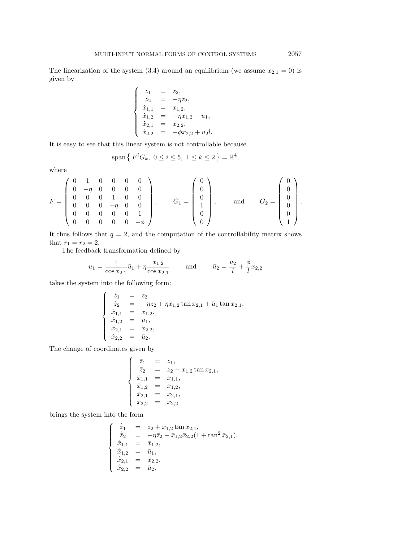The linearization of the system (3.4) around an equilibrium (we assume  $x_{2,1} = 0$ ) is given by

$$
\begin{cases}\n\dot{z}_1 = z_2, \\
\dot{z}_2 = -\eta z_2, \\
\dot{x}_{1,1} = x_{1,2}, \\
\dot{x}_{1,2} = -\eta x_{1,2} + u_1, \\
\dot{x}_{2,1} = x_{2,2}, \\
\dot{x}_{2,2} = -\phi x_{2,2} + u_2 l.\n\end{cases}
$$

It is easy to see that this linear system is not controllable because

$$
span\{F^iG_k, \ 0 \le i \le 5, \ 1 \le k \le 2\} = \mathbb{R}^4,
$$

where

$$
F = \begin{pmatrix} 0 & 1 & 0 & 0 & 0 & 0 \\ 0 & -\eta & 0 & 0 & 0 & 0 \\ 0 & 0 & 0 & 1 & 0 & 0 \\ 0 & 0 & 0 & -\eta & 0 & 0 \\ 0 & 0 & 0 & 0 & 0 & 1 \\ 0 & 0 & 0 & 0 & 0 & -\phi \end{pmatrix}, \qquad G_1 = \begin{pmatrix} 0 \\ 0 \\ 0 \\ 1 \\ 0 \\ 0 \end{pmatrix}, \qquad \text{and} \qquad G_2 = \begin{pmatrix} 0 \\ 0 \\ 0 \\ 0 \\ 1 \end{pmatrix}.
$$

It thus follows that  $q = 2$ , and the computation of the controllability matrix shows that  $r_1 = r_2 = 2$ .

The feedback transformation defined by

$$
u_1 = \frac{1}{\cos x_{2,1}} \bar{u}_1 + \eta \frac{x_{1,2}}{\cos x_{2,1}}
$$
 and  $\bar{u}_2 = \frac{u_2}{l} + \frac{\phi}{l} x_{2,2}$ 

takes the system into the following form:

$$
\begin{cases}\n\dot{z}_1 = z_2 \\
\dot{z}_2 = -\eta z_2 + \eta x_{1,2} \tan x_{2,1} + \bar{u}_1 \tan x_{2,1}, \\
\dot{x}_{1,1} = x_{1,2}, \\
\dot{x}_{1,2} = \bar{u}_1, \\
\dot{x}_{2,1} = x_{2,2}, \\
\dot{x}_{2,2} = \bar{u}_2.\n\end{cases}
$$

The change of coordinates given by

$$
\begin{cases}\n\bar{z}_1 = z_1, \\
\bar{z}_2 = z_2 - x_{1,2} \tan x_{2,1}, \\
\bar{x}_{1,1} = x_{1,1}, \\
\bar{x}_{1,2} = x_{1,2}, \\
\bar{x}_{2,1} = x_{2,1}, \\
\bar{x}_{2,2} = x_{2,2}\n\end{cases}
$$

brings the system into the form

$$
\begin{cases}\n\dot{\bar{z}}_1 = \bar{z}_2 + \bar{x}_{1,2} \tan \bar{x}_{2,1}, \n\dot{\bar{z}}_2 = -\eta \bar{z}_2 - \bar{x}_{1,2} \bar{x}_{2,2} (1 + \tan^2 \bar{x}_{2,1}), \n\dot{\bar{x}}_{1,1} = \bar{x}_{1,2}, \n\dot{\bar{x}}_{1,2} = \bar{u}_1, \n\dot{\bar{x}}_{2,1} = \bar{x}_{2,2}, \n\dot{\bar{x}}_{2,2} = \bar{u}_2.\n\end{cases}
$$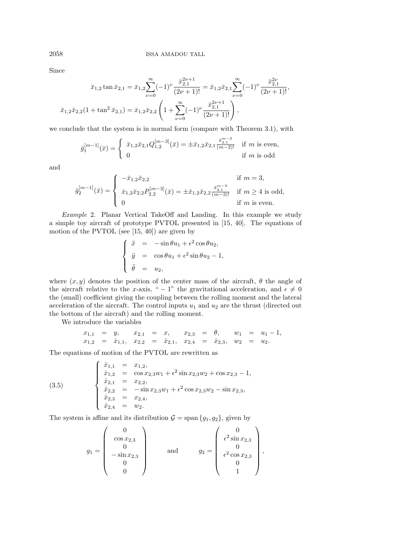Since

$$
\bar{x}_{1,2} \tan \bar{x}_{2,1} = \bar{x}_{1,2} \sum_{\nu=0}^{\infty} (-1)^{\nu} \frac{\bar{x}_{2,1}^{2\nu+1}}{(2\nu+1)!} = \bar{x}_{1,2} \bar{x}_{2,1} \sum_{\nu=0}^{\infty} (-1)^{\nu} \frac{\bar{x}_{2,1}^{2\nu}}{(2\nu+1)!},
$$
  

$$
\bar{x}_{1,2} \bar{x}_{2,2} (1 + \tan^2 \bar{x}_{2,1}) = \bar{x}_{1,2} \bar{x}_{2,2} \left(1 + \sum_{\nu=0}^{\infty} (-1)^{\nu} \frac{\bar{x}_{2,1}^{2\nu+1}}{(2\nu+1)!}\right),
$$

we conclude that the system is in normal form (compare with Theorem 3.1), with

$$
\bar{g}_1^{[m-1]}(\bar{x}) = \begin{cases} \bar{x}_{1,2}\bar{x}_{2,1}Q_{1,2}^{[m-3]}(\bar{x}) = \pm \bar{x}_{1,2}\bar{x}_{2,1}\frac{\bar{x}_{2,1}^{m-3}}{(m-2)!} & \text{if } m \text{ is even,} \\ 0 & \text{if } m \text{ is odd} \end{cases}
$$

and

$$
\bar{g}_2^{[m-1]}(\bar{x}) = \begin{cases}\n-\bar{x}_{1,2}\bar{x}_{2,2} & \text{if } m = 3, \\
\bar{x}_{1,2}\bar{x}_{2,2}P_{2,2}^{[m-3]}(\bar{x}) = \pm \bar{x}_{1,2}\bar{x}_{2,2}\frac{\bar{x}_{2,1}^{m-3}}{(m-3)!} & \text{if } m \ge 4 \text{ is odd,} \\
0 & \text{if } m \text{ is even.}\n\end{cases}
$$

Example 2. Planar Vertical TakeOff and Landing. In this example we study a simple toy aircraft of prototype PVTOL presented in [15, 40]. The equations of motion of the PVTOL (see [15, 40]) are given by

$$
\begin{cases}\n\ddot{x} = -\sin \theta u_1 + \epsilon^2 \cos \theta u_2, \\
\ddot{y} = \cos \theta u_1 + \epsilon^2 \sin \theta u_2 - 1, \\
\ddot{\theta} = u_2,\n\end{cases}
$$

where  $(x, y)$  denotes the position of the center mass of the aircraft,  $\theta$  the angle of the aircraft relative to the x-axis, " – 1" the gravitational acceleration, and  $\epsilon \neq 0$ the (small) coefficient giving the coupling between the rolling moment and the lateral acceleration of the aircraft. The control inputs  $u_1$  and  $u_2$  are the thrust (directed out the bottom of the aircraft) and the rolling moment.

We introduce the variables

$$
x_{1,1} = y
$$
,  $x_{2,1} = x$ ,  $x_{2,3} = \theta$ ,  $w_1 = u_1 - 1$ ,  
\n $x_{1,2} = \dot{x}_{1,1}$ ,  $x_{2,2} = \dot{x}_{2,1}$ ,  $x_{2,4} = \dot{x}_{2,3}$ ,  $w_2 = u_2$ .

The equations of motion of the PVTOL are rewritten as

(3.5) 
$$
\begin{cases}\n\dot{x}_{1,1} = x_{1,2}, \\
\dot{x}_{1,2} = \cos x_{2,3}w_1 + \epsilon^2 \sin x_{2,3}w_2 + \cos x_{2,3} - 1, \\
\dot{x}_{2,1} = x_{2,2}, \\
\dot{x}_{2,2} = -\sin x_{2,3}w_1 + \epsilon^2 \cos x_{2,3}w_2 - \sin x_{2,3}, \\
\dot{x}_{2,3} = x_{2,4}, \\
\dot{x}_{2,4} = w_2.\n\end{cases}
$$

The system is affine and its distribution  $G = \text{span} \{g_1, g_2\}$ , given by

$$
g_1 = \begin{pmatrix} 0 \\ \cos x_{2,3} \\ 0 \\ -\sin x_{2,3} \\ 0 \\ 0 \end{pmatrix} \quad \text{and} \quad g_2 = \begin{pmatrix} 0 \\ \epsilon^2 \sin x_{2,3} \\ 0 \\ \epsilon^2 \cos x_{2,3} \\ 0 \\ 1 \end{pmatrix},
$$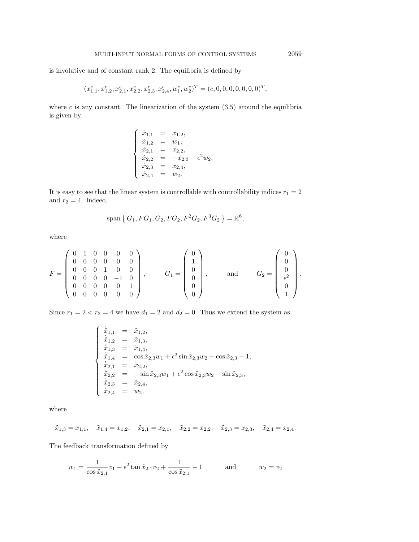is involutive and of constant rank 2. The equilibria is defined by

$$
(x_{1,1}^e, x_{1,2}^e, x_{2,1}^e, x_{2,2}^e, x_{2,3}^e, x_{2,4}^e, w_1^e, w_2^e)^T = (c,0,0,0,0,0,0,0)^T,\\
$$

where  $c$  is any constant. The linearization of the system  $(3.5)$  around the equilibria is given by

$$
\left\{\begin{array}{rcl} \dot{x}_{1,1} &=& x_{1,2}, \\ \dot{x}_{1,2} &=& w_1, \\ \dot{x}_{2,1} &=& x_{2,2}, \\ \dot{x}_{2,2} &=& -x_{2,3} + \epsilon^2 w_2, \\ \dot{x}_{2,3} &=& x_{2,4}, \\ \dot{x}_{2,4} &=& w_2. \end{array}\right.
$$

It is easy to see that the linear system is controllable with controllability indices  $r_1 = 2\,$ and  $r_2 = 4$ . Indeed,

$$
\text{span}\,\big\{\,G_1, FG_1, G_2, FG_2, F^2G_2, F^3G_2\,\big\} = \mathbb{R}^6,
$$

where

$$
F = \begin{pmatrix} 0 & 1 & 0 & 0 & 0 & 0 \\ 0 & 0 & 0 & 0 & 0 & 0 \\ 0 & 0 & 0 & 1 & 0 & 0 \\ 0 & 0 & 0 & 0 & -1 & 0 \\ 0 & 0 & 0 & 0 & 0 & 1 \\ 0 & 0 & 0 & 0 & 0 & 0 \end{pmatrix}, \qquad G_1 = \begin{pmatrix} 0 \\ 1 \\ 0 \\ 0 \\ 0 \\ 0 \end{pmatrix}, \qquad \text{and} \qquad G_2 = \begin{pmatrix} 0 \\ 0 \\ 0 \\ \frac{\epsilon^2}{\epsilon^2} \\ 1 \end{pmatrix}.
$$

Since  $r_1 = 2 < r_2 = 4$  we have  $d_1 = 2$  and  $d_2 = 0$ . Thus we extend the system as

$$
\begin{cases}\n\dot{\tilde{x}}_{1,1} = \tilde{x}_{1,2}, \\
\dot{\tilde{x}}_{1,2} = \tilde{x}_{1,3}, \\
\dot{\tilde{x}}_{1,3} = \tilde{x}_{1,4}, \\
\dot{\tilde{x}}_{1,4} = \cos \tilde{x}_{2,3}w_1 + \epsilon^2 \sin \tilde{x}_{2,3}w_2 + \cos \tilde{x}_{2,3} - 1, \\
\dot{\tilde{x}}_{2,1} = \tilde{x}_{2,2}, \\
\dot{\tilde{x}}_{2,2} = -\sin \tilde{x}_{2,3}w_1 + \epsilon^2 \cos \tilde{x}_{2,3}w_2 - \sin \tilde{x}_{2,3}, \\
\dot{\tilde{x}}_{2,3} = \tilde{x}_{2,4}, \\
\dot{\tilde{x}}_{2,4} = w_2,\n\end{cases}
$$

where

$$
\tilde{x}_{1,3}=x_{1,1},\quad \tilde{x}_{1,4}=x_{1,2},\quad \tilde{x}_{2,1}=x_{2,1},\quad \tilde{x}_{2,2}=x_{2,2},\quad \tilde{x}_{2,3}=x_{2,3},\quad \tilde{x}_{2,4}=x_{2,4}.
$$

The feedback transformation defined by

$$
w_1 = \frac{1}{\cos \tilde{x}_{2,1}} v_1 - \epsilon^2 \tan \tilde{x}_{2,1} v_2 + \frac{1}{\cos \tilde{x}_{2,1}} - 1 \quad \text{and} \quad w_2 = v_2
$$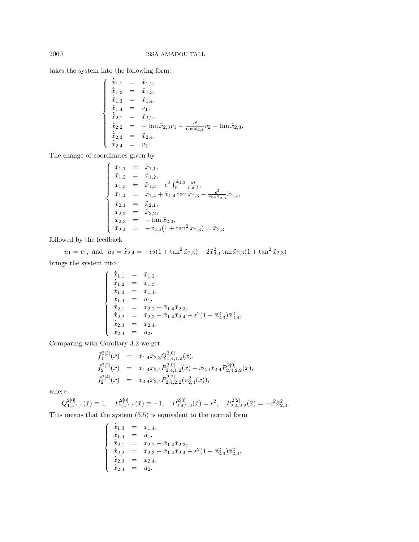takes the system into the following form:

$$
\begin{cases}\n\dot{\tilde{x}}_{1,1} = \tilde{x}_{1,2}, \\
\dot{\tilde{x}}_{1,2} = \tilde{x}_{1,3}, \\
\dot{\tilde{x}}_{1,3} = \tilde{x}_{1,4}, \\
\dot{x}_{1,4} = v_1, \\
\dot{\tilde{x}}_{2,1} = \tilde{x}_{2,2}, \\
\dot{\tilde{x}}_{2,2} = -\tan \tilde{x}_{2,3}v_1 + \frac{\epsilon^2}{\cos \tilde{x}_{2,3}}v_2 - \tan \tilde{x}_{2,3}, \\
\dot{\tilde{x}}_{2,3} = \tilde{x}_{2,4}, \\
\dot{\tilde{x}}_{2,4} = v_2.\n\end{cases}
$$

The change of coordinates given by

$$
\begin{cases}\n\bar{x}_{1,1} = \tilde{x}_{1,1}, \n\bar{x}_{1,2} = \tilde{x}_{1,2}, \n\bar{x}_{1,3} = \tilde{x}_{1,3} - \epsilon^2 \int_0^{\tilde{x}_{2,3}} \frac{dt}{\cos t}, \n\bar{x}_{1,4} = \tilde{x}_{1,4} + \tilde{x}_{1,4} \tan \tilde{x}_{2,3} - \frac{\epsilon^2}{\cos \tilde{x}_{2,3}} \tilde{x}_{2,4}, \n\bar{x}_{2,1} = \tilde{x}_{2,1}, \n\bar{x}_{2,2} = \tilde{x}_{2,2}, \n\bar{x}_{2,3} = -\tan \tilde{x}_{2,3}, \n\bar{x}_{2,4} = -\tilde{x}_{2,4} (1 + \tan^2 \tilde{x}_{2,3}) = \dot{\bar{x}}_{2,3}\n\end{cases}
$$

followed by the feedback

$$
\bar{u}_1 = v_1
$$
, and  $\bar{u}_2 = \dot{\bar{x}}_{2,4} = -v_2(1 + \tan^2 \tilde{x}_{2,3}) - 2\tilde{x}_{2,4}^2 \tan \tilde{x}_{2,3}(1 + \tan^2 \tilde{x}_{2,3})$ 

brings the system into

$$
\begin{cases}\n\dot{\bar{x}}_{1,1} = \bar{x}_{1,2}, \\
\dot{\bar{x}}_{1,2} = \bar{x}_{1,3}, \\
\dot{\bar{x}}_{1,3} = \bar{x}_{1,4}, \\
\dot{\bar{x}}_{1,4} = \bar{u}_1, \\
\dot{\bar{x}}_{2,1} = x_{2,2} + \bar{x}_{1,4}\bar{x}_{2,3}, \\
\dot{\bar{x}}_{2,2} = \bar{x}_{2,3} - \bar{x}_{1,4}\bar{x}_{2,4} + \epsilon^2(1 - \bar{x}_{2,3}^2)\bar{x}_{2,4}^2, \\
\dot{\bar{x}}_{2,3} = \bar{x}_{2,4}, \\
\dot{\bar{x}}_{2,4} = \bar{u}_2.\n\end{cases}
$$

Comparing with Corollary 3.2 we get

$$
\begin{array}{rcl}\n\bar{f}_1^{2[2]}(\bar{x}) & = & \bar{x}_{1,4}\bar{x}_{2,3}Q_{1,4,1,2}^{2[0]}(\bar{x}), \\
\bar{f}_2^{2[2]}(\bar{x}) & = & \bar{x}_{1,4}\bar{x}_{2,4}P_{2,4,1,2}^{2[0]}(\bar{x}) + \bar{x}_{2,4}\bar{x}_{2,4}P_{2,4,2,2}^{2[0]}(\bar{x}), \\
\bar{f}_2^{2[4]}(\bar{x}) & = & \bar{x}_{2,4}\bar{x}_{2,4}P_{2,4,2,2}^{2[2]}(\pi_{2,4}^2(\bar{x})),\n\end{array}
$$

where

$$
Q_{1,4,1,2}^{2[0]}(\bar{x}) \equiv 1, \quad P_{2,4,1,2}^{2[0]}(\bar{x}) \equiv -1, \quad P_{2,4,2,2}^{2[0]}(\bar{x}) = \epsilon^2, \quad P_{2,4,2,2}^{2[2]}(\bar{x}) = -\epsilon^2 \bar{x}_{2,3}^2.
$$

This means that the system (3.5) is equivalent to the normal form

$$
\begin{cases}\n\dot{\bar{x}}_{1,3} = \bar{x}_{1,4}, \\
\dot{\bar{x}}_{1,4} = \bar{u}_1, \\
\dot{\bar{x}}_{2,1} = x_{2,2} + \bar{x}_{1,4}\bar{x}_{2,3}, \\
\dot{\bar{x}}_{2,2} = \bar{x}_{2,3} - \bar{x}_{1,4}\bar{x}_{2,4} + \epsilon^2(1 - \bar{x}_{2,3}^2)\bar{x}_{2,4}^2, \\
\dot{\bar{x}}_{2,3} = \bar{x}_{2,4}, \\
\dot{\bar{x}}_{2,4} = \bar{u}_2.\n\end{cases}
$$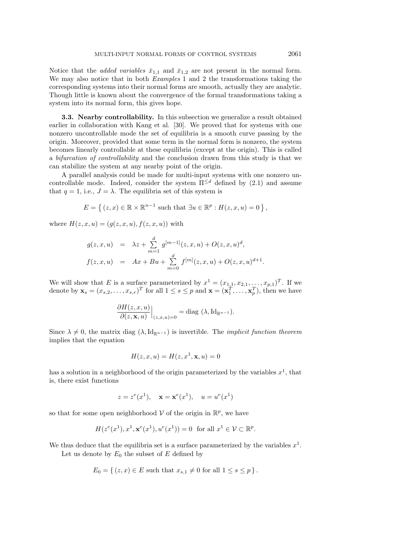Notice that the *added variables*  $\bar{x}_{1,1}$  and  $\bar{x}_{1,2}$  are not present in the normal form. We may also notice that in both *Examples* 1 and 2 the transformations taking the corresponding systems into their normal forms are smooth, actually they are analytic. Though little is known about the convergence of the formal transformations taking a system into its normal form, this gives hope.

**3.3. Nearby controllability.** In this subsection we generalize a result obtained earlier in collaboration with Kang et al. [30]. We proved that for systems with one nonzero uncontrollable mode the set of equilibria is a smooth curve passing by the origin. Moreover, provided that some term in the normal form is nonzero, the system becomes linearly controllable at these equilibria (except at the origin). This is called a bifurcation of controllability and the conclusion drawn from this study is that we can stabilize the system at any nearby point of the origin.

A parallel analysis could be made for multi-input systems with one nonzero uncontrollable mode. Indeed, consider the system  $\Pi^{\leq d}$  defined by (2.1) and assume that  $q = 1$ , i.e.,  $J = \lambda$ . The equilibria set of this system is

$$
E = \left\{ (z, x) \in \mathbb{R} \times \mathbb{R}^{n-1} \text{ such that } \exists u \in \mathbb{R}^p : H(z, x, u) = 0 \right\},\
$$

where  $H(z, x, u) = (q(z, x, u), f(z, x, u))$  with

$$
g(z, x, u) = \lambda z + \sum_{m=1}^{d} g^{[m-1]}(z, x, u) + O(z, x, u)^{d},
$$
  

$$
f(z, x, u) = Ax + Bu + \sum_{m=0}^{d} f^{[m]}(z, x, u) + O(z, x, u)^{d+1}.
$$

We will show that E is a surface parameterized by  $x^1 = (x_{1,1}, x_{2,1}, \ldots, x_{p,1})^T$ . If we denote by  $\mathbf{x}_s = (x_{s,2}, \dots, x_{s,r})^T$  for all  $1 \le s \le p$  and  $\mathbf{x} = (\mathbf{x}_1^T, \dots, \mathbf{x}_p^T)$ , then we have

$$
\frac{\partial H(z, x, u)}{\partial (z, \mathbf{x}, u)}\Big|_{(z, x, u)=0} = \text{diag}(\lambda, \text{Id}_{\mathbb{R}^{n-1}}).
$$

Since  $\lambda \neq 0$ , the matrix diag  $(\lambda, \mathrm{Id}_{\mathbb{R}^{n-1}})$  is invertible. The *implicit function theorem* implies that the equation

$$
H(z, x, u) = H(z, x1, \mathbf{x}, u) = 0
$$

has a solution in a neighborhood of the origin parameterized by the variables  $x<sup>1</sup>$ , that is, there exist functions

$$
z = z^{e}(x^{1}), \mathbf{x} = \mathbf{x}^{e}(x^{1}), \mathbf{u} = u^{e}(x^{1})
$$

so that for some open neighborhood  $V$  of the origin in  $\mathbb{R}^p$ , we have

$$
H(z^{e}(x^{1}), x^{1}, \mathbf{x}^{e}(x^{1}), u^{e}(x^{1})) = 0 \text{ for all } x^{1} \in \mathcal{V} \subset \mathbb{R}^{p}.
$$

We thus deduce that the equilibria set is a surface parameterized by the variables  $x^1$ .

Let us denote by  $E_0$  the subset of  $E$  defined by

$$
E_0 = \{ (z, x) \in E \text{ such that } x_{s,1} \neq 0 \text{ for all } 1 \leq s \leq p \}.
$$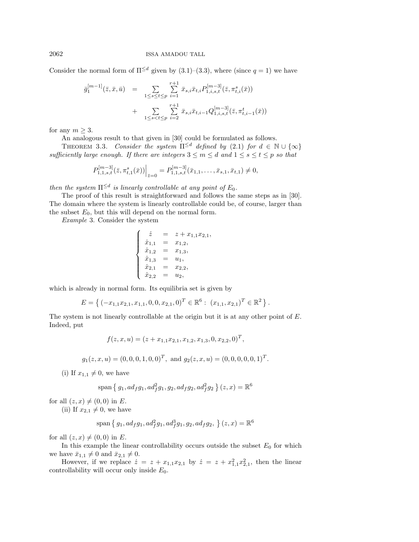2062 ISSA AMADOU TALL

Consider the normal form of  $\Pi^{\leq d}$  given by (3.1)–(3.3), where (since  $q = 1$ ) we have

$$
\bar{g}_1^{[m-1]}(\bar{z}, \bar{x}, \bar{u}) = \sum_{1 \le s \le t \le p} \sum_{i=1}^{r+1} \bar{x}_{s,i} \bar{x}_{t,i} P_{1,i,s,t}^{[m-3]}(\bar{z}, \pi_{t,i}^s(\bar{x})) + \sum_{1 \le s < t \le p} \sum_{i=2}^{r+1} \bar{x}_{s,i} \bar{x}_{t,i-1} Q_{1,i,s,t}^{[m-3]}(\bar{z}, \pi_{t,i-1}^t(\bar{x}))
$$

for any  $m \geq 3$ .

An analogous result to that given in [30] could be formulated as follows.

THEOREM 3.3. Consider the system  $\Pi^{\leq d}$  defined by (2.1) for  $d \in \mathbb{N} \cup \{\infty\}$ sufficiently large enough. If there are integers  $3 \le m \le d$  and  $1 \le s \le t \le p$  so that

$$
P_{1,1,s,t}^{[m-3]}(\bar{z},\pi_{t,1}^s(\bar{x}))\Big|_{\bar{z}=0}=P_{1,1,s,t}^{[m-3]}(\bar{x}_{1,1},\ldots,\bar{x}_{s,1},\bar{x}_{t,1})\neq 0,
$$

then the system  $\Pi^{\leq d}$  is linearly controllable at any point of  $E_0$ .

The proof of this result is straightforward and follows the same steps as in [30]. The domain where the system is linearly controllable could be, of course, larger than the subset  $E_0$ , but this will depend on the normal form.

Example 3. Consider the system

$$
\begin{cases}\n\dot{z} = z + x_{1,1}x_{2,1}, \\
\dot{x}_{1,1} = x_{1,2}, \\
\dot{x}_{1,2} = x_{1,3}, \\
\dot{x}_{1,3} = u_1, \\
\dot{x}_{2,1} = x_{2,2}, \\
\dot{x}_{2,2} = u_2,\n\end{cases}
$$

which is already in normal form. Its equilibria set is given by

$$
E = \left\{ (-x_{1,1}x_{2,1}, x_{1,1}, 0, 0, x_{2,1}, 0)^T \in \mathbb{R}^6 : (x_{1,1}, x_{2,1})^T \in \mathbb{R}^2 \right\}.
$$

The system is not linearly controllable at the origin but it is at any other point of E. Indeed, put

$$
f(z, x, u) = (z + x_{1,1}x_{2,1}, x_{1,2}, x_{1,3}, 0, x_{2,2}, 0)^T,
$$

$$
g_1(z, x, u) = (0, 0, 0, 1, 0, 0)^T
$$
, and  $g_2(z, x, u) = (0, 0, 0, 0, 0, 1)^T$ .

(i) If  $x_{1,1} \neq 0$ , we have

$$
\text{span}\{g_1, ad_f g_1, ad_f^2 g_1, g_2, ad_f g_2, ad_f^2 g_2\}(z, x) = \mathbb{R}^6
$$

for all  $(z, x) \neq (0, 0)$  in E.

(ii) If  $x_{2,1} \neq 0$ , we have

$$
\text{span}\left\{g_1, ad_f g_1, ad_f^2 g_1, ad_f^3 g_1, g_2, ad_f g_2, \ \right\}(z, x) = \mathbb{R}^6
$$

for all  $(z, x) \neq (0, 0)$  in E.

In this example the linear controllability occurs outside the subset  $E_0$  for which we have  $\bar{x}_{1,1} \neq 0$  and  $\bar{x}_{2,1} \neq 0$ .

However, if we replace  $\dot{z} = z + x_{1,1}x_{2,1}$  by  $\dot{z} = z + x_{1,1}^2x_{2,1}^2$ , then the linear controllability will occur only inside  $E_0$ .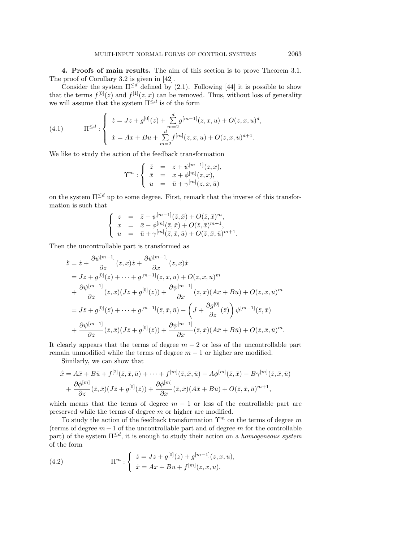**4. Proofs of main results.** The aim of this section is to prove Theorem 3.1. The proof of Corollary 3.2 is given in [42].

Consider the system  $\Pi^{\leq d}$  defined by (2.1). Following [44] it is possible to show that the terms  $f^{[0]}(z)$  and  $f^{[1]}(z, x)$  can be removed. Thus, without loss of generality we will assume that the system  $\Pi^{\leq d}$  is of the form

(4.1) 
$$
\Pi^{\leq d} : \begin{cases} \dot{z} = Jz + g^{[0]}(z) + \sum_{m=2}^{d} g^{[m-1]}(z, x, u) + O(z, x, u)^{d}, \\ \dot{x} = Ax + Bu + \sum_{m=2}^{d} f^{[m]}(z, x, u) + O(z, x, u)^{d+1}. \end{cases}
$$

We like to study the action of the feedback transformation

$$
\Upsilon^m : \begin{cases} \bar{z} &= z + \psi^{[m-1]}(z, x), \\ \bar{x} &= x + \phi^{[m]}(z, x), \\ u &= \bar{u} + \gamma^{[m]}(z, x, \bar{u}) \end{cases}
$$

on the system  $\Pi^{\leq d}$  up to some degree. First, remark that the inverse of this transformation is such that

$$
\begin{cases}\n z &= \bar{z} - \psi^{[m-1]}(\bar{z}, \bar{x}) + O(\bar{z}, \bar{x})^m, \\
 x &= \bar{x} - \phi^{[m]}(\bar{z}, \bar{x}) + O(\bar{z}, \bar{x})^{m+1}, \\
 u &= \bar{u} + \gamma^{[m]}(\bar{z}, \bar{x}, \bar{u}) + O(\bar{z}, \bar{x}, \bar{u})^{m+1}.\n\end{cases}
$$

Then the uncontrollable part is transformed as

$$
\begin{split}\n\dot{\overline{z}} &= \dot{z} + \frac{\partial \psi^{[m-1]}}{\partial z}(z, x)\dot{z} + \frac{\partial \psi^{[m-1]}}{\partial x}(z, x)\dot{x} \\
&= Jz + g^{[0]}(z) + \dots + g^{[m-1]}(z, x, u) + O(z, x, u)^m \\
&+ \frac{\partial \psi^{[m-1]}}{\partial z}(z, x)(Jz + g^{[0]}(z)) + \frac{\partial \psi^{[m-1]}}{\partial x}(z, x)(Ax + Bu) + O(z, x, u)^m \\
&= J\overline{z} + g^{[0]}(\overline{z}) + \dots + g^{[m-1]}(\overline{z}, \overline{x}, \overline{u}) - \left(J + \frac{\partial g^{[0]}}{\partial z}(\overline{z})\right)\psi^{[m-1]}(\overline{z}, \overline{x}) \\
&+ \frac{\partial \psi^{[m-1]}}{\partial z}(\overline{z}, \overline{x})(J\overline{z} + g^{[0]}(\overline{z})) + \frac{\partial \psi^{[m-1]}}{\partial x}(\overline{z}, \overline{x})(A\overline{x} + B\overline{u}) + O(\overline{z}, \overline{x}, \overline{u})^m.\n\end{split}
$$

It clearly appears that the terms of degree  $m-2$  or less of the uncontrollable part remain unmodified while the terms of degree  $m - 1$  or higher are modified.

Similarly, we can show that

$$
\begin{split} \dot{\bar{x}} &= A\bar{x} + B\bar{u} + f^{[2]}(\bar{z}, \bar{x}, \bar{u}) + \dots + f^{[m]}(\bar{z}, \bar{x}, \bar{u}) - A\phi^{[m]}(\bar{z}, \bar{x}) - B\gamma^{[m]}(\bar{z}, \bar{x}, \bar{u}) \\ &+ \frac{\partial \phi^{[m]}}{\partial z}(\bar{z}, \bar{x})(J\bar{z} + g^{[0]}(\bar{z})) + \frac{\partial \phi^{[m]}}{\partial x}(\bar{z}, \bar{x})(A\bar{x} + B\bar{u}) + O(\bar{z}, \bar{x}, \bar{u})^{m+1}, \end{split}
$$

which means that the terms of degree  $m - 1$  or less of the controllable part are preserved while the terms of degree m or higher are modified.

To study the action of the feedback transformation  $\Upsilon^m$  on the terms of degree m (terms of degree  $m-1$  of the uncontrollable part and of degree m for the controllable part) of the system  $\Pi^{\leq d}$ , it is enough to study their action on a *homogeneous system* of the form

(4.2) 
$$
\Pi^m: \begin{cases} \dot{z} = Jz + g^{[0]}(z) + g^{[m-1]}(z, x, u), \\ \dot{x} = Ax + Bu + f^{[m]}(z, x, u). \end{cases}
$$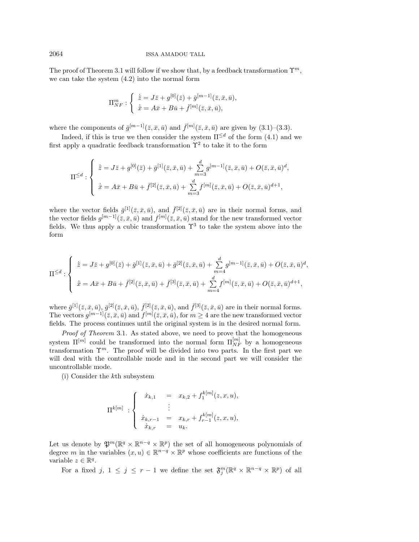The proof of Theorem 3.1 will follow if we show that, by a feedback transformation  $\Upsilon^m$ , we can take the system (4.2) into the normal form

$$
\Pi_{NF}^m: \begin{cases} \dot{\bar{z}} = J\bar{z} + g^{[0]}(\bar{z}) + \bar{g}^{[m-1]}(\bar{z}, \bar{x}, \bar{u}), \\ \dot{\bar{x}} = A\bar{x} + B\bar{u} + \bar{f}^{[m]}(\bar{z}, \bar{x}, \bar{u}), \end{cases}
$$

where the components of  $\bar{g}^{[m-1]}(\bar{z}, \bar{x}, \bar{u})$  and  $\bar{f}^{[m]}(\bar{z}, \bar{x}, \bar{u})$  are given by  $(3.1)$ – $(3.3)$ .

Indeed, if this is true we then consider the system  $\Pi^{\leq d}$  of the form (4.1) and we first apply a quadratic feedback transformation  $\Upsilon^2$  to take it to the form

$$
\Pi^{\leq d} : \begin{cases} \dot{\bar{z}} = J\bar{z} + g^{[0]}(\bar{z}) + \bar{g}^{[1]}(\bar{z}, \bar{x}, \bar{u}) + \sum_{m=3}^{d} g^{[m-1]}(\bar{z}, \bar{x}, \bar{u}) + O(\bar{z}, \bar{x}, \bar{u})^{d}, \\ \dot{\bar{x}} = A\bar{x} + B\bar{u} + \bar{f}^{[2]}(\bar{z}, \bar{x}, \bar{u}) + \sum_{m=3}^{d} f^{[m]}(\bar{z}, \bar{x}, \bar{u}) + O(\bar{z}, \bar{x}, \bar{u})^{d+1}, \end{cases}
$$

where the vector fields  $\bar{g}^{[1]}(\bar{z}, \bar{x}, \bar{u})$ , and  $\bar{f}^{[2]}(\bar{z}, \bar{x}, \bar{u})$  are in their normal forms, and the vector fields  $g^{[m-1]}(\bar{z}, \bar{x}, \bar{u})$  and  $f^{[m]}(\bar{z}, \bar{x}, \bar{u})$  stand for the new transformed vector fields. We thus apply a cubic transformation  $\Upsilon^3$  to take the system above into the form

$$
\Pi^{\leq d} : \begin{cases} \n\dot{\bar{z}} = J\bar{z} + g^{[0]}(\bar{z}) + \bar{g}^{[1]}(\bar{z}, \bar{x}, \bar{u}) + \bar{g}^{[2]}(\bar{z}, \bar{x}, \bar{u}) + \sum_{m=4}^{d} g^{[m-1]}(\bar{z}, \bar{x}, \bar{u}) + O(\bar{z}, \bar{x}, \bar{u})^{d}, \\
\dot{\bar{x}} = A\bar{x} + B\bar{u} + \bar{f}^{[2]}(\bar{z}, \bar{x}, \bar{u}) + \bar{f}^{[3]}(\bar{z}, \bar{x}, \bar{u}) + \sum_{m=4}^{d} f^{[m]}(\bar{z}, \bar{x}, \bar{u}) + O(\bar{z}, \bar{x}, \bar{u})^{d+1},\n\end{cases}
$$

where  $\bar{g}^{[1]}(\bar{z},\bar{x},\bar{u}), \bar{g}^{[2]}(\bar{z},\bar{x},\bar{u}), \bar{f}^{[2]}(\bar{z},\bar{x},\bar{u}),$  and  $\bar{f}^{[3]}(\bar{z},\bar{x},\bar{u})$  are in their normal forms. The vectors  $g^{[m-1]}(\bar{z}, \bar{x}, \bar{u})$  and  $f^{[m]}(\bar{z}, \bar{x}, \bar{u})$ , for  $m \geq 4$  are the new transformed vector fields. The process continues until the original system is in the desired normal form.

Proof of Theorem 3.1. As stated above, we need to prove that the homogeneous system  $\Pi^{[m]}$  could be transformed into the normal form  $\Pi_{NF}^{[m]}$  by a homogeneous transformation  $\Upsilon^m$ . The proof will be divided into two parts. In the first part we will deal with the controllable mode and in the second part we will consider the uncontrollable mode.

(i) Consider the kth subsystem

$$
\Pi^{k[m]} : \begin{cases} \dot{x}_{k,1} & = x_{k,2} + f_1^{k[m]}(z,x,u), \\ & \vdots \\ \dot{x}_{k,r-1} & = x_{k,r} + f_{r-1}^{k[m]}(z,x,u), \\ \dot{x}_{k,r} & = u_k. \end{cases}
$$

Let us denote by  $\mathfrak{P}^m(\mathbb{R}^q \times \mathbb{R}^{n-q} \times \mathbb{R}^p)$  the set of all homogeneous polynomials of degree m in the variables  $(x, u) \in \mathbb{R}^{n-q} \times \mathbb{R}^p$  whose coefficients are functions of the variable  $z \in \mathbb{R}^q$ .

For a fixed j,  $1 \leq j \leq r-1$  we define the set  $\mathfrak{F}_{j}^{m}(\mathbb{R}^{q} \times \mathbb{R}^{n-q} \times \mathbb{R}^{p})$  of all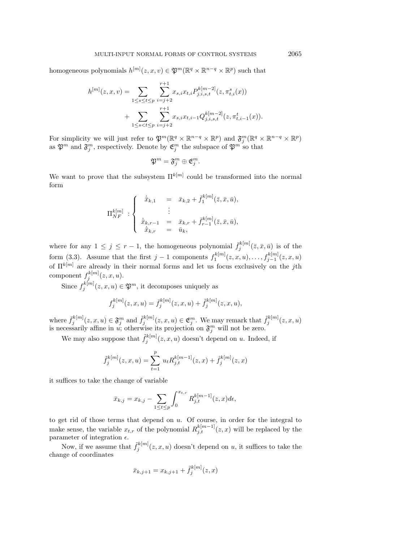homogeneous polynomials  $h^{[m]}(z, x, v) \in \mathfrak{P}^m(\mathbb{R}^q \times \mathbb{R}^{n-q} \times \mathbb{R}^p)$  such that

$$
h^{[m]}(z, x, v) = \sum_{1 \le s \le t \le p} \sum_{i=j+2}^{r+1} x_{s,i} x_{t,i} P_{j,i,s,t}^{k[m-2]}(z, \pi_{t,i}^s(x)) + \sum_{1 \le s < t \le p} \sum_{i=j+2}^{r+1} x_{s,i} x_{t,i-1} Q_{j,i,s,t}^{k[m-2]}(z, \pi_{t,i-1}^t(x)).
$$

For simplicity we will just refer to  $\mathfrak{P}^m(\mathbb{R}^q \times \mathbb{R}^{n-q} \times \mathbb{R}^p)$  and  $\mathfrak{F}_j^m(\mathbb{R}^q \times \mathbb{R}^{n-q} \times \mathbb{R}^p)$ as  $\mathfrak{P}^m$  and  $\mathfrak{F}_j^m$ , respectively. Denote by  $\mathfrak{E}_j^m$  the subspace of  $\mathfrak{P}^m$  so that

$$
\mathfrak{P}^m=\mathfrak{F}_j^m\oplus \mathfrak{E}_j^m.
$$

We want to prove that the subsystem  $\Pi^{k[m]}$  could be transformed into the normal form

$$
\Pi_{NF}^{k[m]} : \begin{cases} \n\dot{\bar{x}}_{k,1} = \bar{x}_{k,2} + \bar{f}_1^{k[m]}(\bar{z}, \bar{x}, \bar{u}), \\
\vdots \\
\dot{\bar{x}}_{k,r-1} = \bar{x}_{k,r} + \bar{f}_{r-1}^{k[m]}(\bar{z}, \bar{x}, \bar{u}), \\
\dot{\bar{x}}_{k,r} = \bar{u}_k,\n\end{cases}
$$

where for any  $1 \leq j \leq r-1$ , the homogeneous polynomial  $\bar{f}_j^{k[m]}(\bar{z}, \bar{x}, \bar{u})$  is of the form (3.3). Assume that the first  $j-1$  components  $f_1^{k[m]}(z,x,u),\ldots,f_{j-1}^{k[m]}(z,x,u)$ of  $\Pi^{k[m]}$  are already in their normal forms and let us focus exclusively on the jth component  $f_j^{k[m]}(z,x,u)$ .

Since  $f_j^{k[m]}(z, x, u) \in \mathfrak{P}^m$ , it decomposes uniquely as

$$
f_j^{k[m]}(z, x, u) = \bar{f}_j^{k[m]}(z, x, u) + \tilde{f}_j^{k[m]}(z, x, u),
$$

where  $\bar{f}_j^{k[m]}(z,x,u) \in \mathfrak{F}_j^m$  and  $\tilde{f}_j^{k[m]}(z,x,u) \in \mathfrak{E}_j^m$ . We may remark that  $\tilde{f}_j^{k[m]}(z,x,u)$ is necessarily affine in u; otherwise its projection on  $\mathfrak{F}_{j}^{m}$  will not be zero.

We may also suppose that  $\tilde{f}_j^{k[m]}(z, x, u)$  doesn't depend on u. Indeed, if

$$
\tilde{f}_j^{k[m]}(z, x, u) = \sum_{t=1}^p u_t R_{j,t}^{k[m-1]}(z, x) + \hat{f}_j^{k[m]}(z, x)
$$

it suffices to take the change of variable

$$
\bar{x}_{k,j} = x_{k,j} - \sum_{1 \le t \le p} \int_0^{x_{t,r}} R_{j,t}^{k[m-1]}(z,x) d\epsilon,
$$

to get rid of those terms that depend on  $u$ . Of course, in order for the integral to make sense, the variable  $x_{t,r}$  of the polynomial  $R_{j,t}^{k[m-1]}(z, x)$  will be replaced by the parameter of integration  $\epsilon.$ 

Now, if we assume that  $\tilde{f}_j^{k[m]}(z, x, u)$  doesn't depend on u, it suffices to take the change of coordinates

$$
\bar{x}_{k,j+1} = x_{k,j+1} + \tilde{f}_j^{k[m]}(z, x)
$$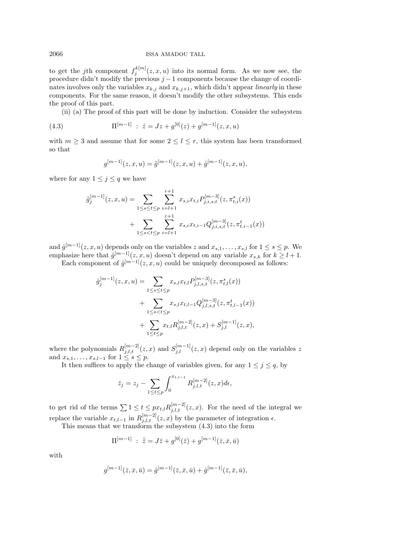#### 2066 ISSA AMADOU TALL

to get the jth component  $f_j^{k[m]}(z, x, u)$  into its normal form. As we now see, the procedure didn't modify the previous  $j-1$  components because the change of coordinates involves only the variables  $x_{k,j}$  and  $x_{k,j+1}$ , which didn't appear *linearly* in these components. For the same reason, it doesn't modify the other subsystems. This ends the proof of this part.

(ii) (a) The proof of this part will be done by induction. Consider the subsystem

(4.3) 
$$
\Pi^{[m-1]} : \dot{z} = Jz + g^{[0]}(z) + g^{[m-1]}(z, x, u)
$$

with  $m \geq 3$  and assume that for some  $2 \leq l \leq r$ , this system has been transformed so that

$$
g^{[m-1]}(z, x, u) = \tilde{g}^{[m-1]}(z, x, u) + \hat{g}^{[m-1]}(z, x, u),
$$

where for any  $1 \leq j \leq q$  we have

$$
\tilde{g}_j^{[m-1]}(z, x, u) = \sum_{1 \le s \le t \le p} \sum_{i=l+1}^{r+1} x_{s,i} x_{t,i} P_{j,i,s,t}^{[m-3]}(z, \pi_{t,i}^s(x)) + \sum_{1 \le s < t \le p} \sum_{i=l+1}^{r+1} x_{s,i} x_{t,i-1} Q_{j,i,s,t}^{[m-3]}(z, \pi_{t,i-1}^t(x))
$$

and  $\hat{g}^{[m-1]}(z, x, u)$  depends only on the variables z and  $x_{s,1}, \ldots, x_{s,l}$  for  $1 \le s \le p$ . We emphasize here that  $\hat{g}^{[m-1]}(z, x, u)$  doesn't depend on any variable  $x_{s,k}$  for  $k \geq l+1$ .

Each component of  $\hat{g}^{[m-1]}(z, x, u)$  could be uniquely decomposed as follows:

$$
\hat{g}_j^{[m-1]}(z, x, u) = \sum_{1 \le s \le t \le p} x_{s,l} x_{t,l} P_{j,l,s,t}^{[m-3]}(z, \pi_{t,l}^s(x)) \n+ \sum_{1 \le s < t \le p} x_{s,l} x_{t,l-1} Q_{j,l,s,t}^{[m-3]}(z, \pi_{t,l-1}^t(x)) \n+ \sum_{1 \le t \le p} x_{t,l} R_{j,l,t}^{[m-2]}(z, x) + S_{j,l}^{[m-1]}(z, x),
$$

where the polynomials  $R_{j,l,t}^{[m-2]}(z,x)$  and  $S_{j,l}^{[m-1]}(z,x)$  depend only on the variables z and  $x_{s,1},\ldots,x_{s,l-1}$  for  $1 \leq s \leq p$ .

It then suffices to apply the change of variables given, for any  $1 \leq j \leq q$ , by

$$
\bar{z}_j = z_j - \sum_{1 \le t \le p} \int_0^{x_{t,l-1}} R_{j,l,t}^{[m-2]}(z,x) d\epsilon,
$$

to get rid of the terms  $\sum 1 \le t \le px_{t,l} R_{j,l,t}^{[m-2]}(z,x)$ . For the need of the integral we replace the variable  $x_{t,l-1}$  in  $R_{j,l,t}^{[m-2]}(z, x)$  by the parameter of integration  $\epsilon$ .

This means that we transform the subsystem (4.3) into the form

$$
\Pi^{[m-1]} \; : \; \dot{\bar{z}} = J\bar{z} + g^{[0]}(\bar{z}) + g^{[m-1]}(\bar{z}, \bar{x}, \bar{u})
$$

with

$$
g^{[m-1]}(\bar{z}, \bar{x}, \bar{u}) = \tilde{g}^{[m-1]}(\bar{z}, \bar{x}, \bar{u}) + \hat{g}^{[m-1]}(\bar{z}, \bar{x}, \bar{u}),
$$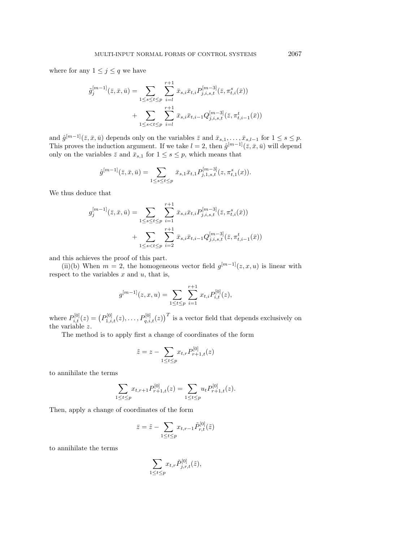where for any  $1 \leq j \leq q$  we have

$$
\tilde{g}_j^{[m-1]}(\bar{z}, \bar{x}, \bar{u}) = \sum_{1 \le s \le t \le p} \sum_{i=l}^{r+1} \bar{x}_{s,i} \bar{x}_{t,i} P_{j,i,s,t}^{[m-3]}(\bar{z}, \pi^s_{t,i}(\bar{x})) + \sum_{1 \le s < t \le p} \sum_{i=l}^{r+1} \bar{x}_{s,i} \bar{x}_{t,i-1} Q_{j,i,s,t}^{[m-3]}(\bar{z}, \pi^t_{t,i-1}(\bar{x}))
$$

and  $\hat{g}^{[m-1]}(\bar{z}, \bar{x}, \bar{u})$  depends only on the variables  $\bar{z}$  and  $\bar{x}_{s,1}, \ldots, \bar{x}_{s,l-1}$  for  $1 \leq s \leq p$ . This proves the induction argument. If we take  $l = 2$ , then  $\hat{g}^{[m-1]}(\bar{z}, \bar{x}, \bar{u})$  will depend only on the variables  $\bar{z}$  and  $\bar{x}_{s,1}$  for  $1 \leq s \leq p$ , which means that

$$
\hat{g}^{[m-1]}(\bar{z}, \bar{x}, \bar{u}) = \sum_{1 \leq s \leq t \leq p} \bar{x}_{s,1} \bar{x}_{t,1} P^{[m-3]}_{j,1,s,t}(z, \pi^s_{t,1}(x)).
$$

We thus deduce that

$$
g_j^{[m-1]}(\bar{z}, \bar{x}, \bar{u}) = \sum_{1 \le s \le t \le p} \sum_{i=1}^{r+1} \bar{x}_{s,i} \bar{x}_{t,i} P_{j,i,s,t}^{[m-3]}(\bar{z}, \pi_{t,i}^s(\bar{x})) + \sum_{1 \le s < t \le p} \sum_{i=2}^{r+1} \bar{x}_{s,i} \bar{x}_{t,i-1} Q_{j,i,s,t}^{[m-3]}(\bar{z}, \pi_{t,i-1}^t(\bar{x}))
$$

and this achieves the proof of this part.

(ii)(b) When  $m = 2$ , the homogeneous vector field  $g^{[m-1]}(z, x, u)$  is linear with respect to the variables  $x$  and  $u$ , that is,

$$
g^{[m-1]}(z,x,u) = \sum_{1 \le t \le p} \sum_{i=1}^{r+1} x_{t,i} P_{i,t}^{[0]}(z),
$$

where  $P_{i,t}^{[0]}(z) = (P_{1,i,t}^{[0]}(z), \ldots, P_{q,i,t}^{[0]}(z))$ <sup>T</sup> is a vector field that depends exclusively on the variable z.

The method is to apply first a change of coordinates of the form

$$
\tilde{z} = z - \sum_{1 \le t \le p} x_{t,r} P_{r+1,t}^{[0]}(z)
$$

to annihilate the terms

$$
\sum_{1 \le t \le p} x_{t,r+1} P_{r+1,t}^{[0]}(z) = \sum_{1 \le t \le p} u_t P_{r+1,t}^{[0]}(z).
$$

Then, apply a change of coordinates of the form

$$
\bar{z} = \tilde{z} - \sum_{1 \le t \le p} x_{t,r-1} \tilde{P}_{r,t}^{[0]}(\tilde{z})
$$

to annihilate the terms

$$
\sum_{1\leq t\leq p}x_{t,r}\tilde{P}^{[0]}_{j,r,t}(\tilde{z}),
$$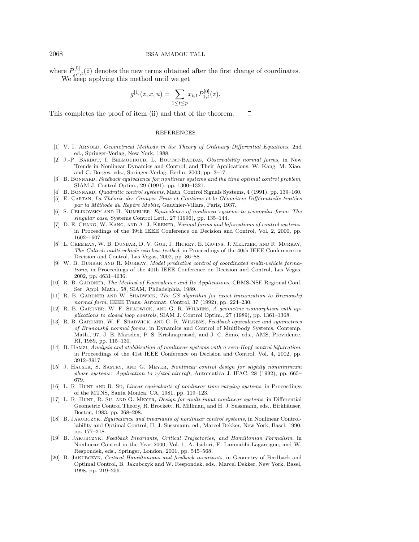where  $\tilde{P}_{j,r,t}^{[0]}(\tilde{z})$  denotes the new terms obtained after the first change of coordinates.

We keep applying this method until we get

$$
g^{[1]}(z, x, u) = \sum_{1 \le t \le p} x_{t,1} P^{[0]}_{1,t}(z).
$$

This completes the proof of item (ii) and that of the theorem.  $\Box$ 

#### REFERENCES

- [1] V. I. ARNOLD, Geometrical Methods in the Theory of Ordinary Differential Equations, 2nd ed., Springer-Verlag, New York, 1988.
- [2] J.-P. BARBOT, I. BELMOUHOUB, L. BOUTAT-BADDAS, Observability normal forms, in New Trends in Nonlinear Dynamics and Control, and Their Applications, W. Kang, M. Xiao, and C. Borges, eds., Springer-Verlag, Berlin, 2003, pp. 3–17.
- [3] B. BONNARD, Feedback equivalence for nonlinear systems and the time optimal control problem, SIAM J. Control Optim., 29 (1991), pp. 1300–1321.
- [4] B. Bonnard, Quadratic control systems, Math. Control Signals Systems, 4 (1991), pp. 139–160.
- [5] E. CARTAN, La Théorie des Groupes Finis et Continus et la Géométrie Différentielle traitées par la Méthode du Repère Mobile, Gauthier-Villars, Paris, 1937.
- [6] S. Celikovsky and H. Nijmeijer, Equivalence of nonlinear systems to triangular form: The singular case, Systems Control Lett., 27 (1996), pp. 135–144.
- [7] D. E. CHANG, W. KANG, AND A. J. KRENER, Normal forms and bifurcations of control systems, in Proceedings of the 39th IEEE Conference on Decision and Control, Vol. 2, 2000, pp. 1602–1607.
- [8] L. Cremean, W. B. Dunbar, D. V. Goh, J. Hickey, E. Kavins, J. Meltzer, and R. Murray, The Caltech multi-vehicle wireless testbed, in Proceedings of the 40th IEEE Conference on Decision and Control, Las Vegas, 2002, pp. 86–88.
- [9] W. B. DUNBAR AND R. MURRAY, Model predictive control of coordinated multi-vehicle formations, in Proceedings of the 40th IEEE Conference on Decision and Control, Las Vegas, 2002, pp. 4631–4636.
- [10] R. B. GARDNER, The Method of Equivalence and Its Applications, CBMS-NSF Regional Conf. Ser. Appl. Math., 58, SIAM, Philadelphia, 1989.
- [11] R. B. GARDNER AND W. SHADWICK, The GS algorithm for exact linearization to Brunovský normal form, IEEE Trans. Automat. Control, 37 (1992), pp. 224–230.
- [12] R. B. GARDNER, W. F. SHADWICK, AND G. R. WILKENS, A geometric isomorphism with applications to closed loop controls, SIAM J. Control Optim., 27 (1989), pp. 1361–1368.
- [13] R. B. GARDNER, W. F. SHADWICK, AND G. R. WILKENS, Feedback equivalence and symmetries of Brunovsk´y normal forms, in Dynamics and Control of Multibody Systems, Contemp. Math., 97, J. E. Marsden, P. S. Krishnaprasad, and J. C. Simo, eds., AMS, Providence, RI, 1989, pp. 115–130.
- [14] B. Hamzi, Analysis and stabilization of nonlinear systems with a zero-Hopf control bifurcation, in Proceedings of the 41st IEEE Conference on Decision and Control, Vol. 4, 2002, pp. 3912–3917.
- [15] J. Hauser, S. Sastry, and G. Meyer, Nonlinear control design for slightly nonminimum phase systems: Application to v/stol aircraft, Automatica J. IFAC, 28 (1992), pp. 665– 679.
- [16] L. R. Hunt and R. Su, Linear equivalents of nonlinear time varying systems, in Proceedings of the MTNS, Santa Monica, CA, 1981, pp. 119–123.
- [17] L. R. Hunt, R. Su, and G. Meyer, Design for multi-input nonlinear systems, in Differential Geometric Control Theory, R. Brockett, R. Millman, and H. J. Sussmann, eds., Birkhäuser, Boston, 1983, pp. 268–298.
- [18] B. Jakubczyk, Equivalence and invariants of nonlinear control systems, in Nonlinear Controllability and Optimal Control, H. J. Sussmann, ed., Marcel Dekker, New York, Basel, 1990, pp. 177–218.
- [19] B. Jakubczyk, Feedback Invariants, Critical Trajectories, and Hamiltonian Formalism, in Nonlinear Control in the Year 2000, Vol. 1, A. Isidori, F. Lamnabhi-Lagarrigue, and W. Respondek, eds., Springer, London, 2001, pp. 545–568.
- [20] B. Jakubczyk, Critical Hamiltonians and feedback invariants, in Geometry of Feedback and Optimal Control, B. Jakubczyk and W. Respondek, eds., Marcel Dekker, New York, Basel, 1998, pp. 219–256.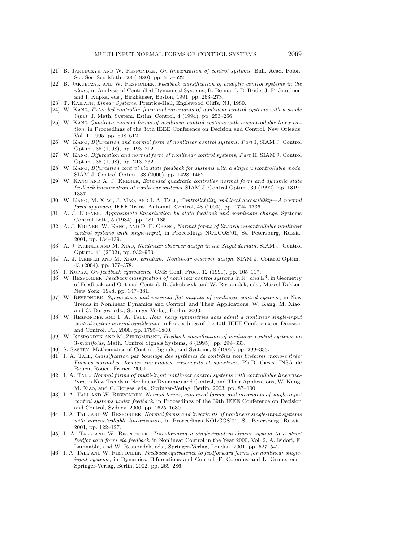- [21] B. JAKUBCZYK AND W. RESPONDEK, On linearization of control systems, Bull. Acad. Polon. Sci. Ser. Sci. Math., 28 (1980), pp. 517–522.
- [22] B. JAKUBCZYK AND W. RESPONDEK, Feedback classification of analytic control systems in the plane, in Analysis of Controlled Dynamical Systems, B. Bonnard, B. Bride, J. P. Gauthier, and I. Kupka, eds., Birkhäuser, Boston, 1991, pp. 263-273.
- [23] T. KAILATH, Linear Systems, Prentice-Hall, Englewood Cliffs, NJ, 1980.
- [24] W. Kang, Extended controller form and invariants of nonlinear control systems with a single input, J. Math. System. Estim. Control, 4 (1994), pp. 253–256.
- [25] W. Kang Quadratic normal forms of nonlinear control systems with uncontrollable linearization, in Proceedings of the 34th IEEE Conference on Decision and Control, New Orleans, Vol. 1, 1995, pp. 608–612.
- [26] W. Kang, Bifurcation and normal form of nonlinear control systems, Part I, SIAM J. Control Optim., 36 (1998), pp. 193–212.
- [27] W. Kang, Bifurcation and normal form of nonlinear control systems, Part II, SIAM J. Control Optim., 36 (1998), pp. 213–232.
- [28] W. Kang, Bifurcation control via state feedback for systems with a single uncontrollable mode, SIAM J. Control Optim., 38 (2000), pp. 1428–1452.
- [29] W. Kang and A. J. Krener, Extended quadratic controller normal form and dynamic state feedback linearization of nonlinear systems, SIAM J. Control Optim., 30 (1992), pp. 1319– 1337.
- [30] W. Kang, M. Xiao, J. Mao, and I. A. Tall, Controllability and local accessibility—A normal form approach, IEEE Trans. Automat. Control, 48 (2003), pp. 1724–1736.
- [31] A. J. KRENER, Approximate linearization by state feedback and coordinate change, Systems Control Lett., 5 (1984), pp. 181–185.
- [32] A. J. KRENER, W. KANG, AND D. E. CHANG, Normal forms of linearly uncontrollable nonlinear control systems with single-input, in Proceedings NOLCOS'01, St. Petersburg, Russia, 2001, pp. 134–139.
- [33] A. J. Krener and M. Xiao, Nonlinear observer design in the Siegel domain, SIAM J. Control Optim., 41 (2002), pp. 932–953.
- [34] A. J. Krener and M. Xiao, Erratum: Nonlinear observer design, SIAM J. Control Optim., 43 (2004), pp. 377–378.
- [35] I. Kupka, On feedback equivalence, CMS Conf. Proc., 12 (1990), pp. 105–117.
- [36] W. RESPONDEK, Feedback classification of nonlinear control systems in  $\mathbb{R}^2$  and  $\mathbb{R}^3$ , in Geometry of Feedback and Optimal Control, B. Jakubczyk and W. Respondek, eds., Marcel Dekker, New York, 1998, pp. 347–381.
- [37] W. RESPONDEK, Symmetries and minimal flat outputs of nonlinear control systems, in New Trends in Nonlinear Dynamics and Control, and Their Applications, W. Kang, M. Xiao, and C. Borges, eds., Springer-Verlag, Berlin, 2003.
- [38] W. RESPONDEK AND I. A. TALL, How many symmetries does admit a nonlinear single-input control system around equilibrium, in Proceedings of the 40th IEEE Conference on Decision and Control, FL, 2000, pp. 1795–1800.
- [39] W. RESPONDEK AND M. ZHITOMIRSKII, Feedback classification of nonlinear control systems on 3-manifolds, Math. Control Signals Systems, 8 (1995), pp. 299–333.
- [40] S. Sastry, Mathematics of Control, Signals, and Systems, 8 (1995), pp. 299–333.
- [41] I. A. TALL, Classification par bouclage des systèmes de contrôles non linéaires mono-entrée: Formes normales, formes canoniques, invariants et symétries, Ph.D. thesis, INSA de Rouen, Rouen, France, 2000.
- [42] I. A. Tall, Normal forms of multi-input nonlinear control systems with controllable linearization, in New Trends in Nonlinear Dynamics and Control, and Their Applications, W. Kang, M. Xiao, and C. Borges, eds., Springer-Verlag, Berlin, 2003, pp. 87–100.
- [43] I. A. TALL AND W. RESPONDEK, Normal forms, canonical forms, and invariants of single-input control systems under feedback, in Proceedings of the 39th IEEE Conference on Decision and Control, Sydney, 2000, pp. 1625–1630.
- [44] I. A. TALL AND W. RESPONDEK, Normal forms and invariants of nonlinear single-input systems with noncontrollable linearization, in Proceedings NOLCOS'01, St. Petersburg, Russia, 2001, pp. 122–127.
- [45] I. A. TALL AND W. RESPONDEK, Transforming a single-input nonlinear system to a strict feedforward form via feedback, in Nonlinear Control in the Year 2000, Vol. 2, A. Isidori, F. Lamnabhi, and W. Respondek, eds., Springer-Verlag, London, 2001, pp. 527–542.
- [46] I. A. TALL AND W. RESPONDEK, Feedback equivalence to feedforward forms for nonlinear singleinput systems, in Dynamics, Bifurcations and Control, F. Colonius and L. Grune, eds., Springer-Verlag, Berlin, 2002, pp. 269–286.